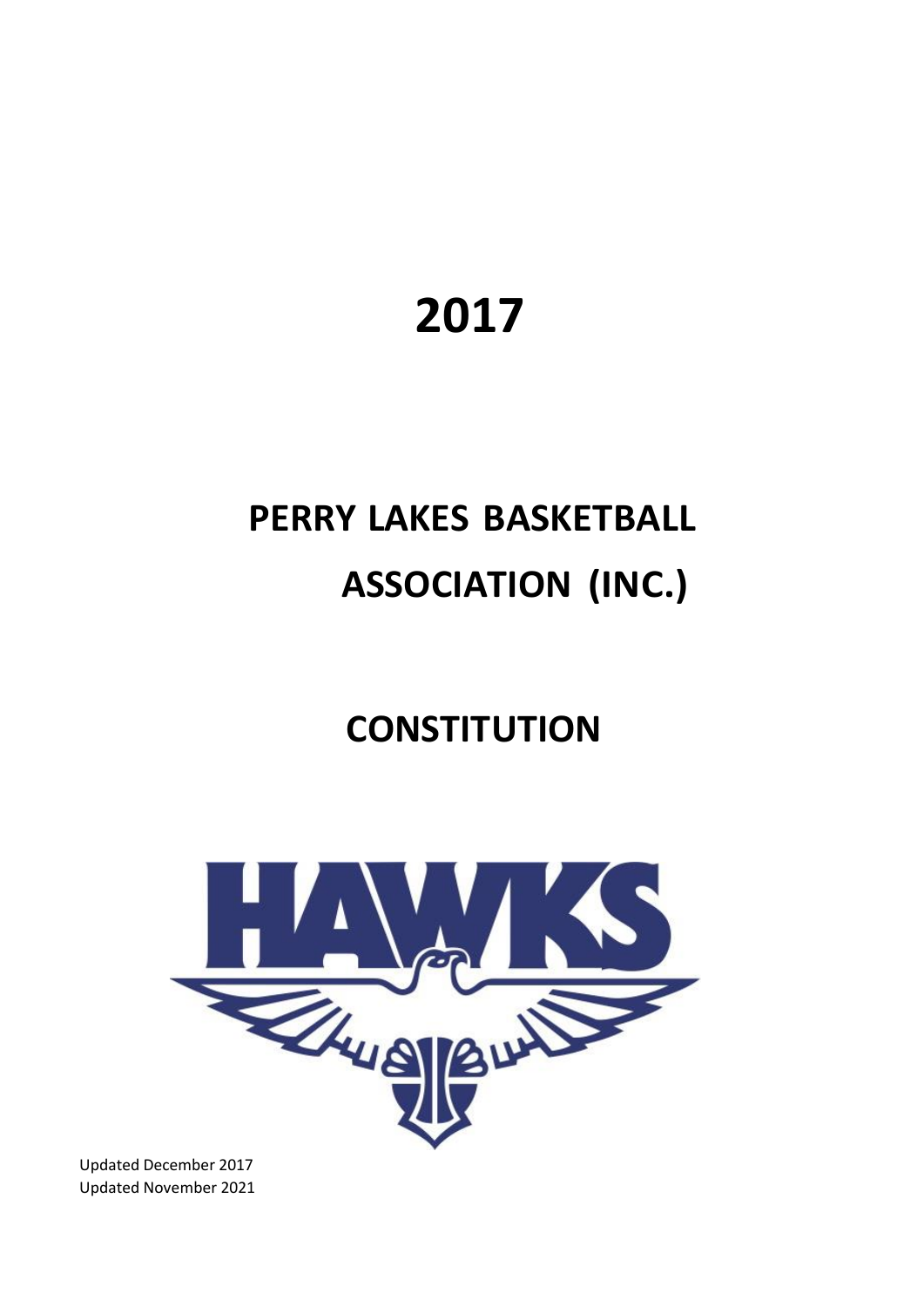# **2017**

## **PERRY LAKES BASKETBALL ASSOCIATION (INC.)**

## **CONSTITUTION**



Updated December 2017 Updated November 2021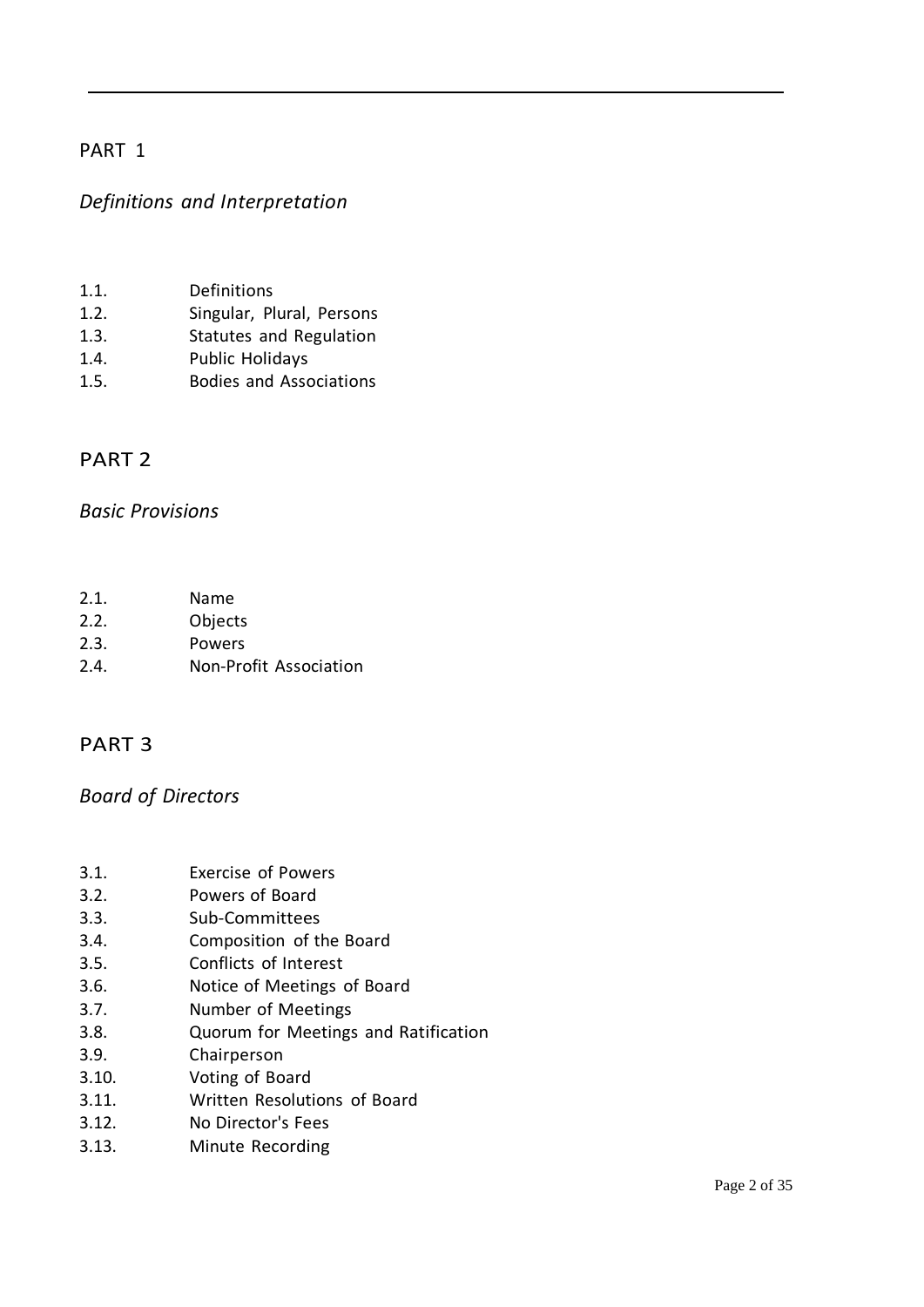#### *Definitions and Interpretation*

- 1.1. Definitions
- 1.2. Singular, Plural, Persons
- 1.3. Statutes and Regulation
- 1.4. Public Holidays
- 1.5. Bodies and Associations

#### PART 2

#### *Basic Provisions*

- 2.1. Name
- 2.2. Objects
- 2.3. Powers
- 2.4. Non-Profit Association

#### PART 3

### *Board of Directors*

- 3.1. Exercise of Powers
- 3.2. Powers of Board
- 3.3. Sub-Committees
- 3.4. Composition of the Board
- 3.5. Conflicts of Interest
- 3.6. Notice of Meetings of Board
- 3.7. Number of Meetings
- 3.8. Quorum for Meetings and Ratification
- 3.9. Chairperson
- 3.10. Voting of Board
- 3.11. Written Resolutions of Board
- 3.12. No Director's Fees
- 3.13. Minute Recording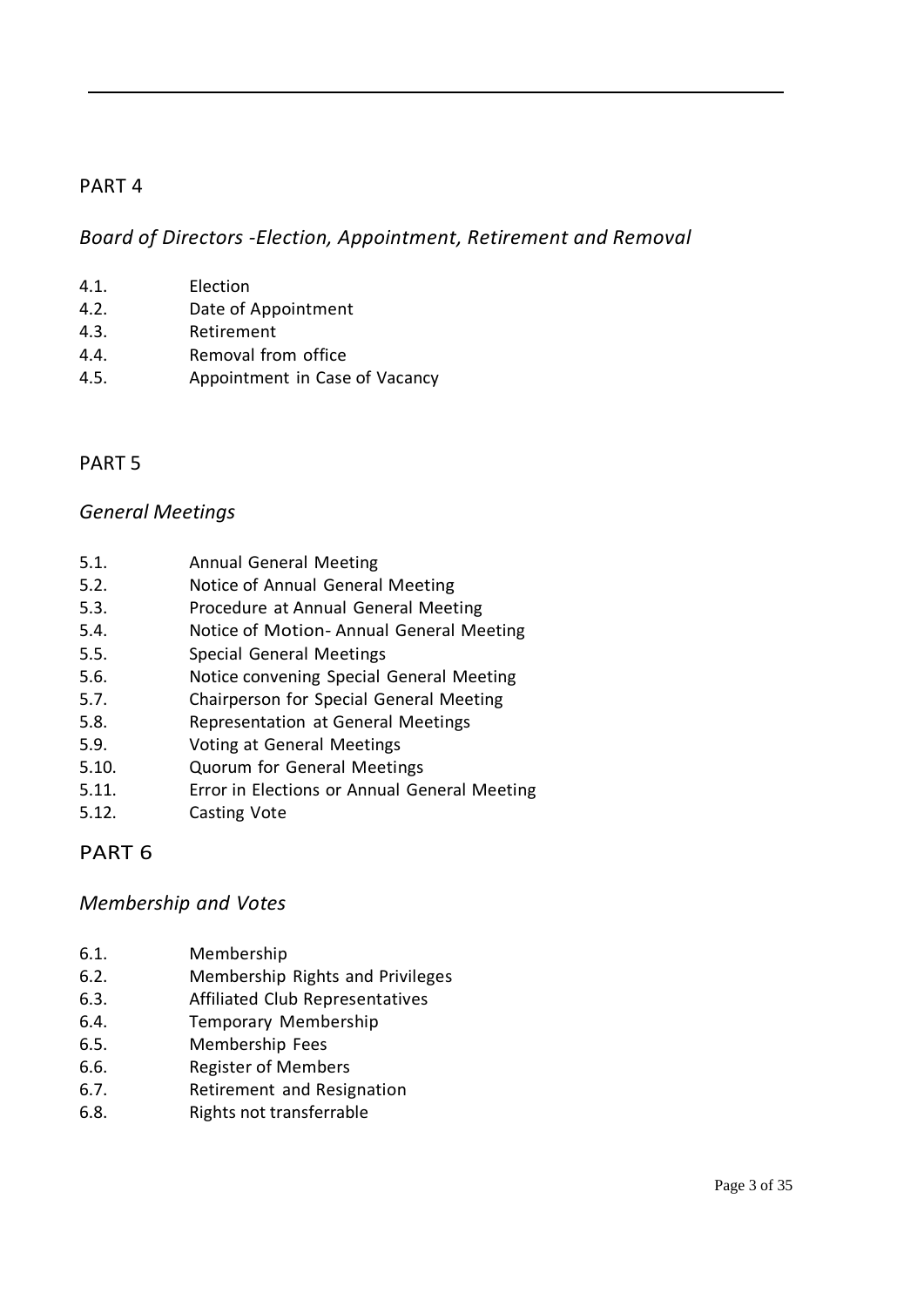*Board of Directors -Election, Appointment, Retirement and Removal*

- 4.1. Election
- 4.2. Date of Appointment
- 4.3. Retirement
- 4.4. Removal from office
- 4.5. Appointment in Case of Vacancy

### PART 5

#### *General Meetings*

- 5.1. Annual General Meeting
- 5.2. Notice of Annual General Meeting
- 5.3. Procedure at Annual General Meeting
- 5.4. Notice of Motion- Annual General Meeting
- 5.5. Special General Meetings
- 5.6. Notice convening Special General Meeting
- 5.7. Chairperson for Special General Meeting
- 5.8. Representation at General Meetings
- 5.9. Voting at General Meetings
- 5.10. Quorum for General Meetings
- 5.11. Error in Elections or Annual General Meeting
- 5.12. Casting Vote

### PART 6

#### *Membership and Votes*

- 6.1. Membership
- 6.2. Membership Rights and Privileges
- 6.3. Affiliated Club Representatives
- 6.4. Temporary Membership
- 6.5. Membership Fees
- 6.6. Register of Members
- 6.7. Retirement and Resignation
- 6.8. Rights not transferrable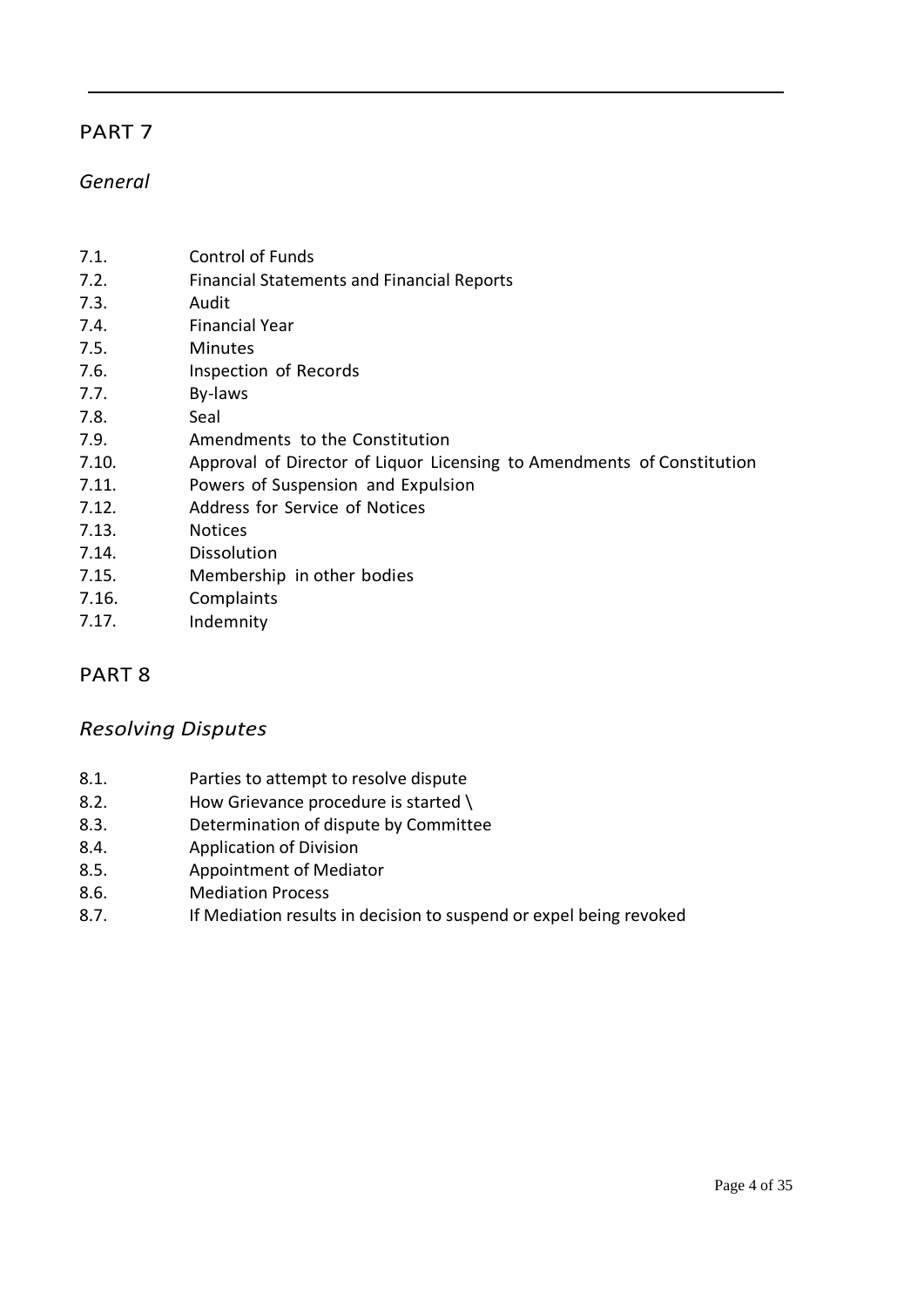#### *General*

- 7.1. Control of Funds
- 7.2. Financial Statements and Financial Reports
- 7.3. Audit
- 7.4. Financial Year
- 7.5. Minutes
- 7.6. Inspection of Records
- 7.7. By-laws
- 7.8. Seal
- 7.9. Amendments to the Constitution
- 7.10. Approval of Director of Liquor Licensing to Amendments of Constitution
- 7.11. Powers of Suspension and Expulsion
- 7.12. Address for Service of Notices
- 7.13. Notices
- 7.14. Dissolution
- 7.15. Membership in other bodies
- 7.16. Complaints
- 7.17. Indemnity

#### PART 8

#### *Resolving Disputes*

- 8.1. Parties to attempt to resolve dispute
- 8.2. How Grievance procedure is started \
- 8.3. Determination of dispute by Committee
- 8.4. Application of Division
- 8.5. Appointment of Mediator
- 8.6. Mediation Process
- 8.7. If Mediation results in decision to suspend or expel being revoked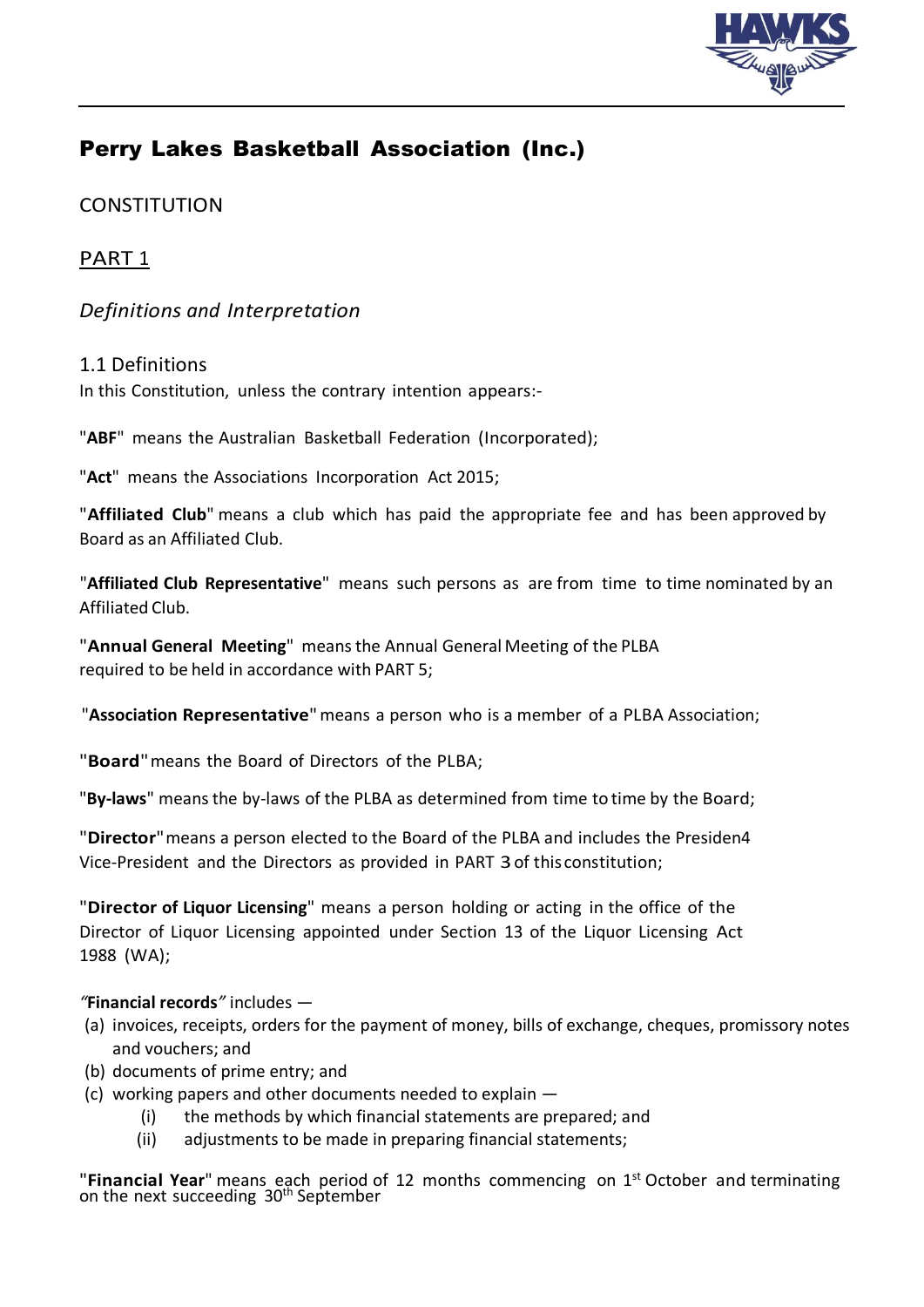

## Perry Lakes Basketball Association (Inc.)

### **CONSTITUTION**

## PART 1

#### *Definitions and Interpretation*

#### 1.1 Definitions

In this Constitution, unless the contrary intention appears:-

"**ABF**" means the Australian Basketball Federation (Incorporated);

"**Act**" means the Associations Incorporation Act 2015;

"**Affiliated Club**" means a club which has paid the appropriate fee and has been approved by Board as an Affiliated Club.

"**Affiliated Club Representative**" means such persons as are from time to time nominated by an Affiliated Club.

"**Annual General Meeting**" meansthe Annual General Meeting of the PLBA required to be held in accordance with PART 5;

"**Association Representative**"means a person who is a member of a PLBA Association;

"**Board**"means the Board of Directors of the PLBA;

"**By-laws**" meansthe by-laws of the PLBA as determined from time to time by the Board;

"**Director**"means a person elected to the Board of the PLBA and includes the Presiden4 Vice-President and the Directors as provided in PART 3of this constitution;

"**Director of Liquor Licensing**" means a person holding or acting in the office of the Director of Liquor Licensing appointed under Section 13 of the Liquor Licensing Act 1988 (WA);

#### *"***Financial records***"* includes —

- (a) invoices, receipts, orders for the payment of money, bills of exchange, cheques, promissory notes and vouchers; and
- (b) documents of prime entry; and
- (c) working papers and other documents needed to explain
	- (i) the methods by which financial statements are prepared; and
	- (ii) adjustments to be made in preparing financial statements;

"Financial Year" means each period of 12 months commencing on 1<sup>st</sup> October and terminating on the next succeeding 30<sup>th</sup> September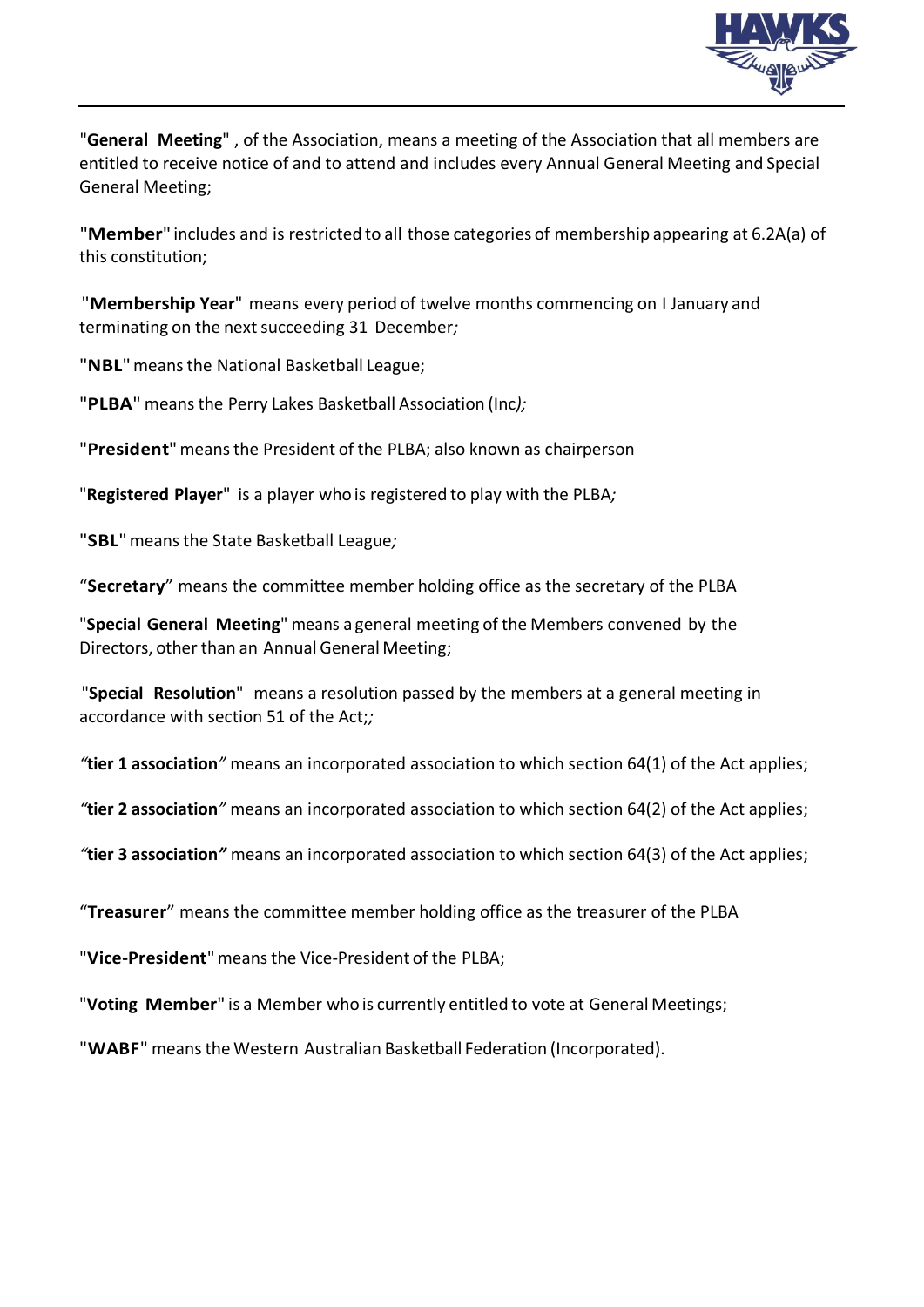

"**General Meeting**" , of the Association, means a meeting of the Association that all members are entitled to receive notice of and to attend and includes every Annual General Meeting and Special General Meeting;

"**Member**" includes and is restricted to all those categories of membership appearing at 6.2A(a) of this constitution;

"**Membership Year**" means every period of twelve months commencing on I January and terminating on the next succeeding 31 December;

"**NBL**"meansthe National Basketball League;

"**PLBA**" meansthe Perry Lakes Basketball Association (Inc*);*

"**President**"meansthe President of the PLBA; also known as chairperson

"**Registered Player**" is a player who is registered to play with the PLBA*;*

"**SBL**"meansthe State Basketball League*;*

"**Secretary**" means the committee member holding office as the secretary of the PLBA

"**Special General Meeting**" means a general meeting of the Members convened by the Directors, other than an Annual General Meeting;

"**Special Resolution**" means a resolution passed by the members at a general meeting in accordance with section 51 of the Act;*;*

*"***tier 1 association***"* means an incorporated association to which section 64(1) of the Act applies;

*"***tier 2 association***"* means an incorporated association to which section 64(2) of the Act applies;

*"***tier 3 association***"* means an incorporated association to which section 64(3) of the Act applies;

"**Treasurer**" means the committee member holding office as the treasurer of the PLBA

"**Vice-President**"meansthe Vice-President of the PLBA;

"**Voting Member**" is a Member who is currently entitled to vote at General Meetings;

"**WABF**" meansthe Western Australian Basketball Federation (Incorporated).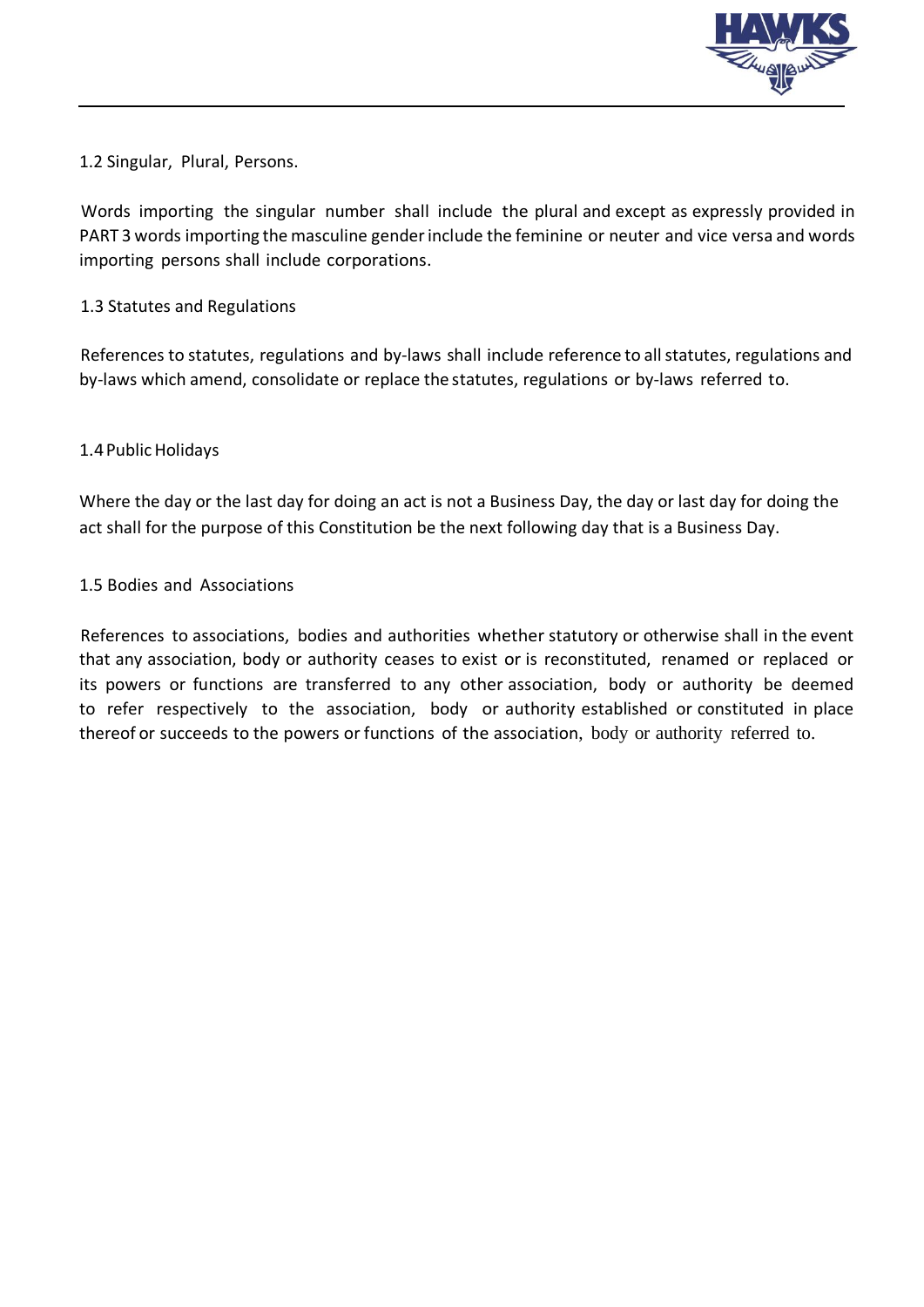

1.2 Singular, Plural, Persons.

Words importing the singular number shall include the plural and except as expressly provided in PART 3 words importing the masculine gender include the feminine or neuter and vice versa and words importing persons shall include corporations.

#### 1.3 Statutes and Regulations

References to statutes, regulations and by-laws shall include reference to all statutes, regulations and by-laws which amend, consolidate or replace the statutes, regulations or by-laws referred to.

#### 1.4 Public Holidays

Where the day or the last day for doing an act is not a Business Day, the day or last day for doing the act shall for the purpose of this Constitution be the next following day that is a Business Day.

#### 1.5 Bodies and Associations

References to associations, bodies and authorities whether statutory or otherwise shall in the event that any association, body or authority ceases to exist or is reconstituted, renamed or replaced or its powers or functions are transferred to any other association, body or authority be deemed to refer respectively to the association, body or authority established or constituted in place thereof or succeeds to the powers or functions of the association, body or authority referred to.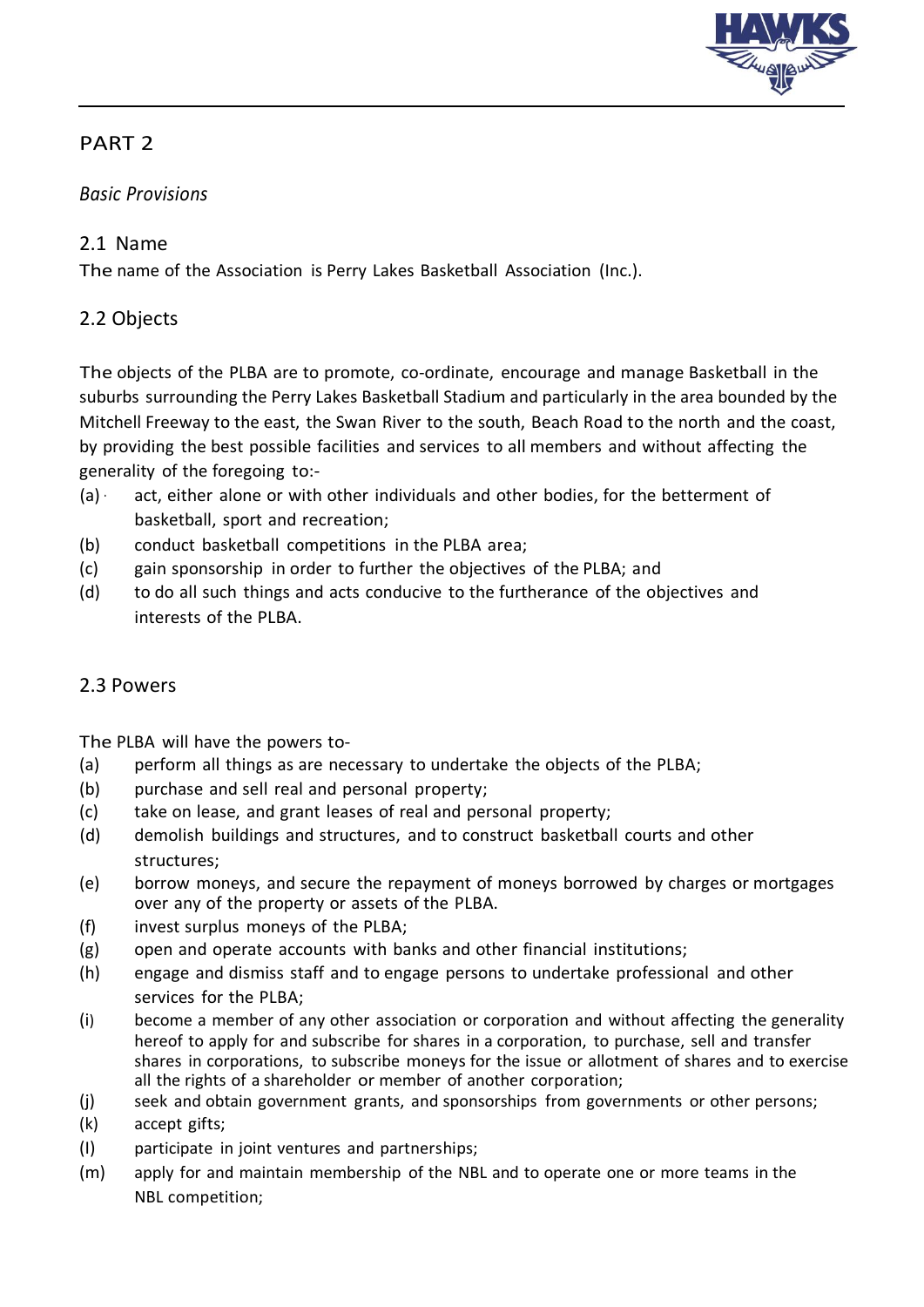

#### *Basic Provisions*

#### 2.1 Name

The name of the Association is Perry Lakes Basketball Association (Inc.).

#### 2.2 Objects

The objects of the PLBA are to promote, co-ordinate, encourage and manage Basketball in the suburbs surrounding the Perry Lakes Basketball Stadium and particularly in the area bounded by the Mitchell Freeway to the east, the Swan River to the south, Beach Road to the north and the coast, by providing the best possible facilities and services to all members and without affecting the generality of the foregoing to:-

- (a) · act, either alone or with other individuals and other bodies, for the betterment of basketball, sport and recreation;
- (b) conduct basketball competitions in the PLBA area;
- (c) gain sponsorship in order to further the objectives of the PLBA; and
- (d) to do all such things and acts conducive to the furtherance of the objectives and interests of the PLBA.

#### 2.3 Powers

The PLBA will have the powers to-

- (a) perform all things as are necessary to undertake the objects of the PLBA;
- (b) purchase and sell real and personal property;
- (c) take on lease, and grant leases of real and personal property;
- (d) demolish buildings and structures, and to construct basketball courts and other structures;
- (e) borrow moneys, and secure the repayment of moneys borrowed by charges or mortgages over any of the property or assets of the PLBA.
- (f) invest surplus moneys of the PLBA;
- (g) open and operate accounts with banks and other financial institutions;
- (h) engage and dismiss staff and to engage persons to undertake professional and other services for the PLBA;
- (i) become a member of any other association or corporation and without affecting the generality hereof to apply for and subscribe for shares in a corporation, to purchase, sell and transfer shares in corporations, to subscribe moneys for the issue or allotment of shares and to exercise all the rights of a shareholder or member of another corporation;
- (j) seek and obtain government grants, and sponsorships from governments or other persons;
- (k) accept gifts;
- (I) participate in joint ventures and partnerships;
- (m) apply for and maintain membership of the NBL and to operate one or more teams in the NBL competition;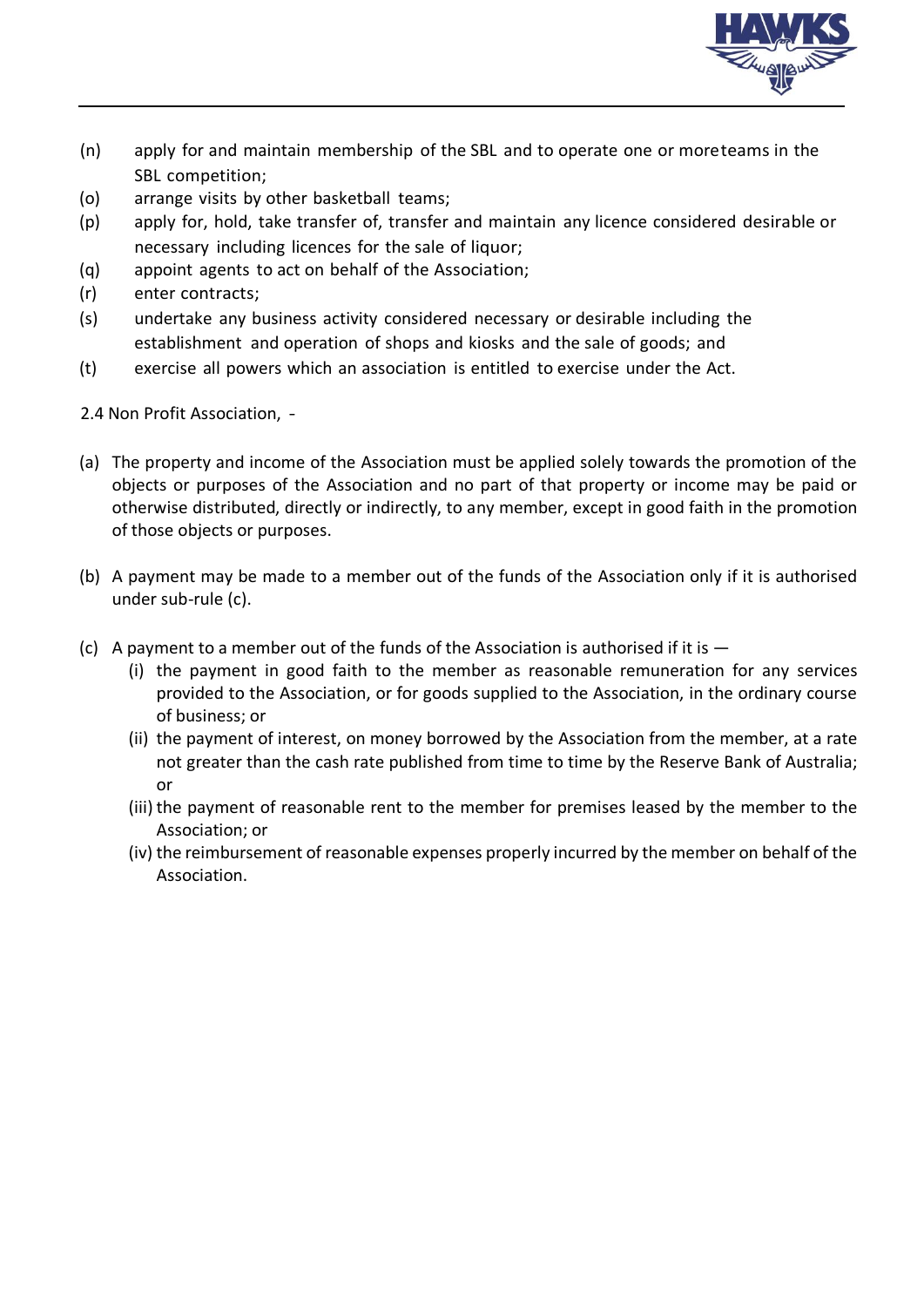

- (n) apply for and maintain membership of the SBL and to operate one or moreteams in the SBL competition;
- (o) arrange visits by other basketball teams;
- (p) apply for, hold, take transfer of, transfer and maintain any licence considered desirable or necessary including licences for the sale of liquor;
- (q) appoint agents to act on behalf of the Association;
- (r) enter contracts;
- (s) undertake any business activity considered necessary or desirable including the establishment and operation of shops and kiosks and the sale of goods; and
- (t) exercise all powers which an association is entitled to exercise under the Act.

2.4 Non Profit Association, -

- (a) The property and income of the Association must be applied solely towards the promotion of the objects or purposes of the Association and no part of that property or income may be paid or otherwise distributed, directly or indirectly, to any member, except in good faith in the promotion of those objects or purposes.
- (b) A payment may be made to a member out of the funds of the Association only if it is authorised under sub-rule (c).
- (c) A payment to a member out of the funds of the Association is authorised if it is  $-$ 
	- (i) the payment in good faith to the member as reasonable remuneration for any services provided to the Association, or for goods supplied to the Association, in the ordinary course of business; or
	- (ii) the payment of interest, on money borrowed by the Association from the member, at a rate not greater than the cash rate published from time to time by the Reserve Bank of Australia; or
	- (iii) the payment of reasonable rent to the member for premises leased by the member to the Association; or
	- (iv) the reimbursement of reasonable expenses properly incurred by the member on behalf of the Association.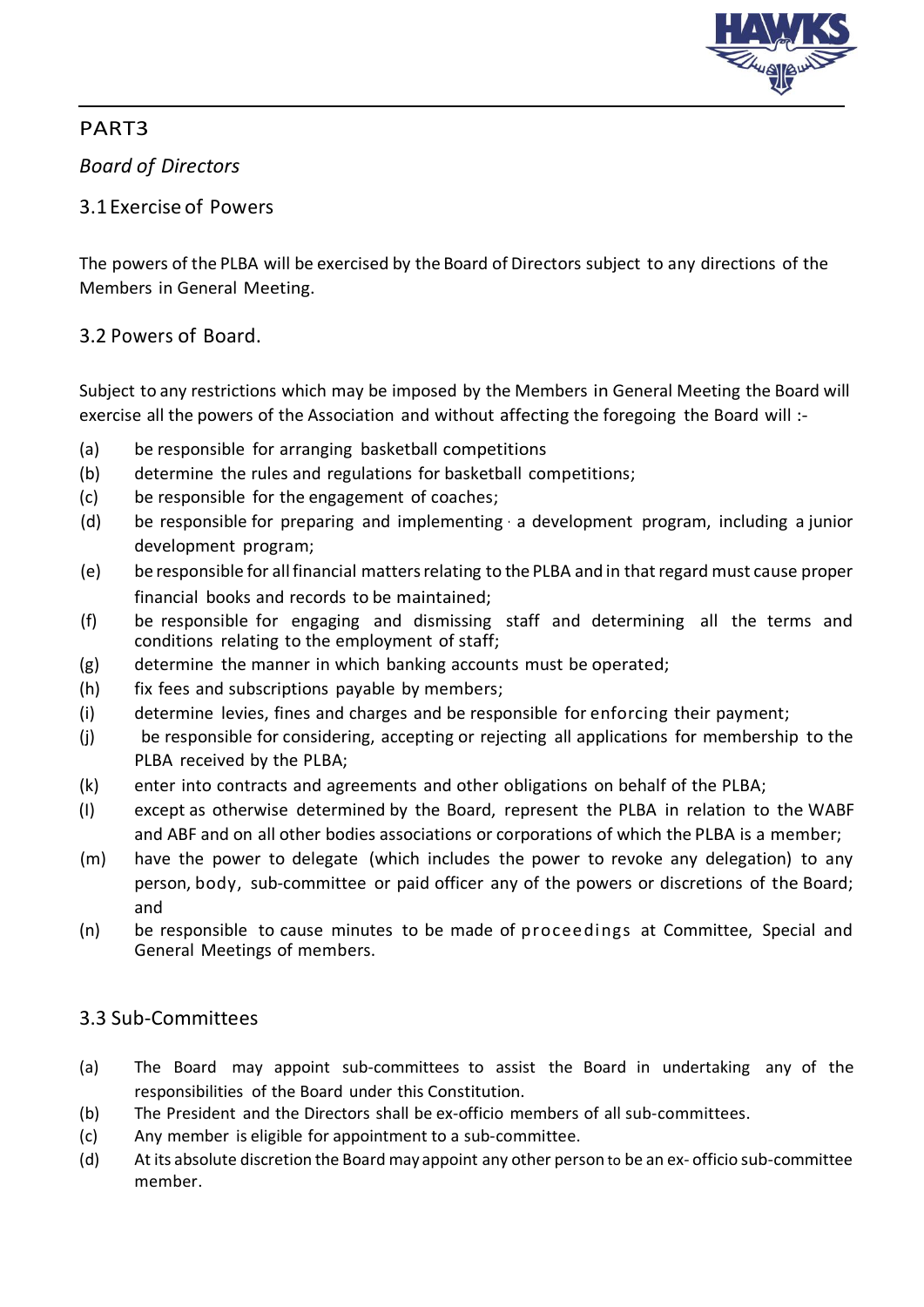

### *Board of Directors*

#### 3.1Exercise of Powers

The powers of the PLBA will be exercised by the Board of Directors subject to any directions of the Members in General Meeting.

#### 3.2 Powers of Board.

Subject to any restrictions which may be imposed by the Members in General Meeting the Board will exercise all the powers of the Association and without affecting the foregoing the Board will :-

- (a) be responsible for arranging basketball competitions
- (b) determine the rules and regulations for basketball competitions;
- (c) be responsible for the engagement of coaches;
- (d) be responsible for preparing and implementing · a development program, including a junior development program;
- (e) be responsible for allfinancial mattersrelating to the PLBA and in thatregard must cause proper financial books and records to be maintained;
- (f) be responsible for engaging and dismissing staff and determining all the terms and conditions relating to the employment of staff;
- (g) determine the manner in which banking accounts must be operated;
- (h) fix fees and subscriptions payable by members;
- (i) determine levies, fines and charges and be responsible for enforcing their payment;
- (j) be responsible for considering, accepting or rejecting all applications for membership to the PLBA received by the PLBA;
- (k) enter into contracts and agreements and other obligations on behalf of the PLBA;
- (I) except as otherwise determined by the Board, represent the PLBA in relation to the WABF and ABF and on all other bodies associations or corporations of which the PLBA is a member;
- (m) have the power to delegate (which includes the power to revoke any delegation) to any person, body, sub-committee or paid officer any of the powers or discretions of the Board; and
- (n) be responsible to cause minutes to be made of proceedings at Committee, Special and General Meetings of members.

### 3.3 Sub-Committees

- (a) The Board may appoint sub-committees to assist the Board in undertaking any of the responsibilities of the Board under this Constitution.
- (b) The President and the Directors shall be ex-officio members of all sub-committees.
- (c) Any member is eligible for appointment to a sub-committee.
- (d) At its absolute discretion the Board may appoint any other person to be an ex- officio sub-committee member.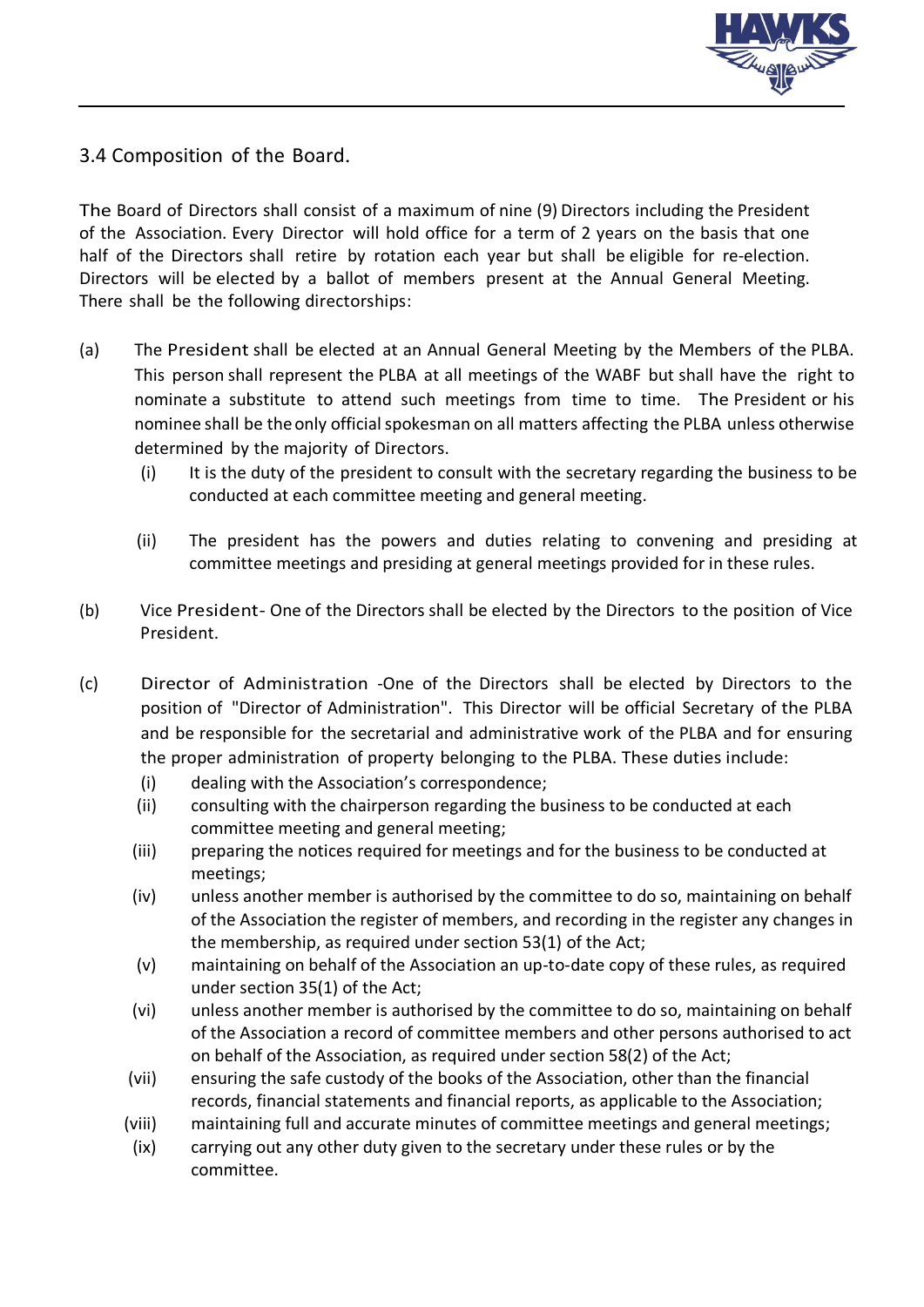

3.4 Composition of the Board.

The Board of Directors shall consist of a maximum of nine (9) Directors including the President of the Association. Every Director will hold office for a term of 2 years on the basis that one half of the Directors shall retire by rotation each year but shall be eligible for re-election. Directors will be elected by a ballot of members present at the Annual General Meeting. There shall be the following directorships:

- (a) The President shall be elected at an Annual General Meeting by the Members of the PLBA. This person shall represent the PLBA at all meetings of the WABF but shall have the right to nominate a substitute to attend such meetings from time to time. The President or his nominee shall be the only official spokesman on all matters affecting the PLBA unless otherwise determined by the majority of Directors.
	- (i) It is the duty of the president to consult with the secretary regarding the business to be conducted at each committee meeting and general meeting.
	- (ii) The president has the powers and duties relating to convening and presiding at committee meetings and presiding at general meetings provided for in these rules.
- (b) Vice President- One of the Directors shall be elected by the Directors to the position of Vice President.
- (c) Director of Administration -One of the Directors shall be elected by Directors to the position of "Director of Administration". This Director will be official Secretary of the PLBA and be responsible for the secretarial and administrative work of the PLBA and for ensuring the proper administration of property belonging to the PLBA. These duties include:
	- (i) dealing with the Association's correspondence;
	- (ii) consulting with the chairperson regarding the business to be conducted at each committee meeting and general meeting;
	- (iii) preparing the notices required for meetings and for the business to be conducted at meetings;
	- (iv) unless another member is authorised by the committee to do so, maintaining on behalf of the Association the register of members, and recording in the register any changes in the membership, as required under section 53(1) of the Act;
	- (v) maintaining on behalf of the Association an up-to-date copy of these rules, as required under section 35(1) of the Act;
	- (vi) unless another member is authorised by the committee to do so, maintaining on behalf of the Association a record of committee members and other persons authorised to act on behalf of the Association, as required under section 58(2) of the Act;
	- (vii) ensuring the safe custody of the books of the Association, other than the financial records, financial statements and financial reports, as applicable to the Association;
	- (viii) maintaining full and accurate minutes of committee meetings and general meetings;
	- (ix) carrying out any other duty given to the secretary under these rules or by the committee.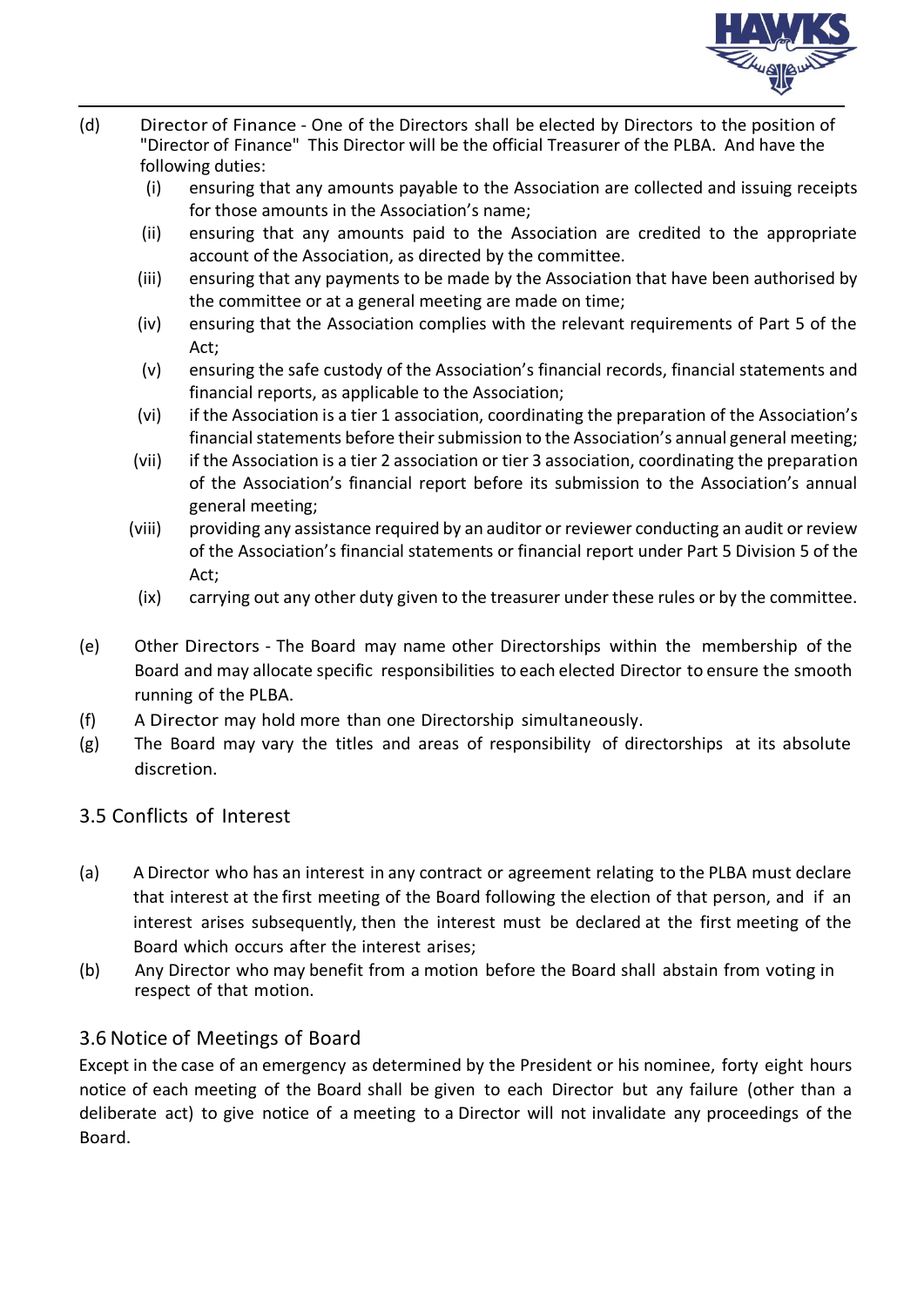

- (d) Director of Finance One of the Directors shall be elected by Directors to the position of "Director of Finance" This Director will be the official Treasurer of the PLBA. And have the following duties:
	- (i) ensuring that any amounts payable to the Association are collected and issuing receipts for those amounts in the Association's name;
	- (ii) ensuring that any amounts paid to the Association are credited to the appropriate account of the Association, as directed by the committee.
	- (iii) ensuring that any payments to be made by the Association that have been authorised by the committee or at a general meeting are made on time;
	- (iv) ensuring that the Association complies with the relevant requirements of Part 5 of the Act;
	- (v) ensuring the safe custody of the Association's financial records, financial statements and financial reports, as applicable to the Association;
	- (vi) if the Association is a tier 1 association, coordinating the preparation of the Association's financial statements before their submission to the Association's annual general meeting;
	- (vii) if the Association is a tier 2 association or tier 3 association, coordinating the preparation of the Association's financial report before its submission to the Association's annual general meeting;
	- (viii) providing any assistance required by an auditor or reviewer conducting an audit or review of the Association's financial statements or financial report under Part 5 Division 5 of the Act;
	- (ix) carrying out any other duty given to the treasurer under these rules or by the committee.
- (e) Other Directors The Board may name other Directorships within the membership of the Board and may allocate specific responsibilities to each elected Director to ensure the smooth running of the PLBA.
- (f) A Director may hold more than one Directorship simultaneously.
- (g) The Board may vary the titles and areas of responsibility of directorships at its absolute discretion.

#### 3.5 Conflicts of Interest

- (a) A Director who has an interest in any contract or agreement relating to the PLBA must declare that interest at the first meeting of the Board following the election of that person, and if an interest arises subsequently, then the interest must be declared at the first meeting of the Board which occurs after the interest arises;
- (b) Any Director who may benefit from a motion before the Board shall abstain from voting in respect of that motion.

#### 3.6 Notice of Meetings of Board

Except in the case of an emergency as determined by the President or his nominee, forty eight hours notice of each meeting of the Board shall be given to each Director but any failure (other than a deliberate act) to give notice of a meeting to a Director will not invalidate any proceedings of the Board.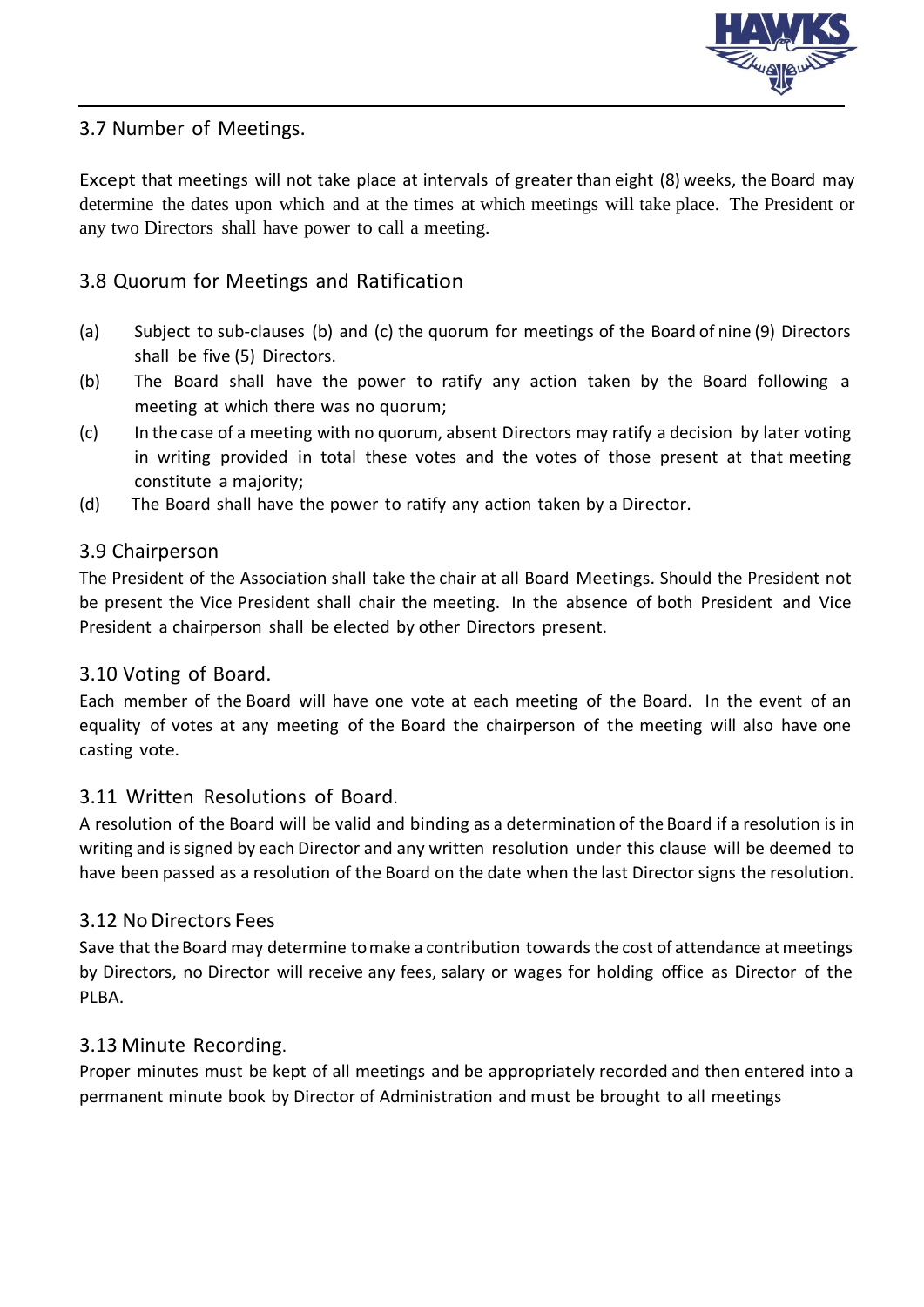

#### 3.7 Number of Meetings.

Except that meetings will not take place at intervals of greater than eight (8) weeks, the Board may determine the dates upon which and at the times at which meetings will take place. The President or any two Directors shall have power to call a meeting.

#### 3.8 Quorum for Meetings and Ratification

- (a) Subject to sub-clauses (b) and (c) the quorum for meetings of the Board of nine (9) Directors shall be five (5) Directors.
- (b) The Board shall have the power to ratify any action taken by the Board following a meeting at which there was no quorum;
- (c) In the case of a meeting with no quorum, absent Directors may ratify a decision by later voting in writing provided in total these votes and the votes of those present at that meeting constitute a majority;
- (d) The Board shall have the power to ratify any action taken by a Director.

#### 3.9 Chairperson

The President of the Association shall take the chair at all Board Meetings. Should the President not be present the Vice President shall chair the meeting. In the absence of both President and Vice President a chairperson shall be elected by other Directors present.

#### 3.10 Voting of Board.

Each member of the Board will have one vote at each meeting of the Board. In the event of an equality of votes at any meeting of the Board the chairperson of the meeting will also have one casting vote.

#### 3.11 Written Resolutions of Board.

A resolution of the Board will be valid and binding as a determination of the Board if a resolution is in writing and issigned by each Director and any written resolution under this clause will be deemed to have been passed as a resolution of the Board on the date when the last Director signs the resolution.

#### 3.12 No Directors Fees

Save that the Board may determine tomake a contribution towards the cost of attendance atmeetings by Directors, no Director will receive any fees, salary or wages for holding office as Director of the PLBA.

#### 3.13 Minute Recording.

Proper minutes must be kept of all meetings and be appropriately recorded and then entered into a permanent minute book by Director of Administration and must be brought to all meetings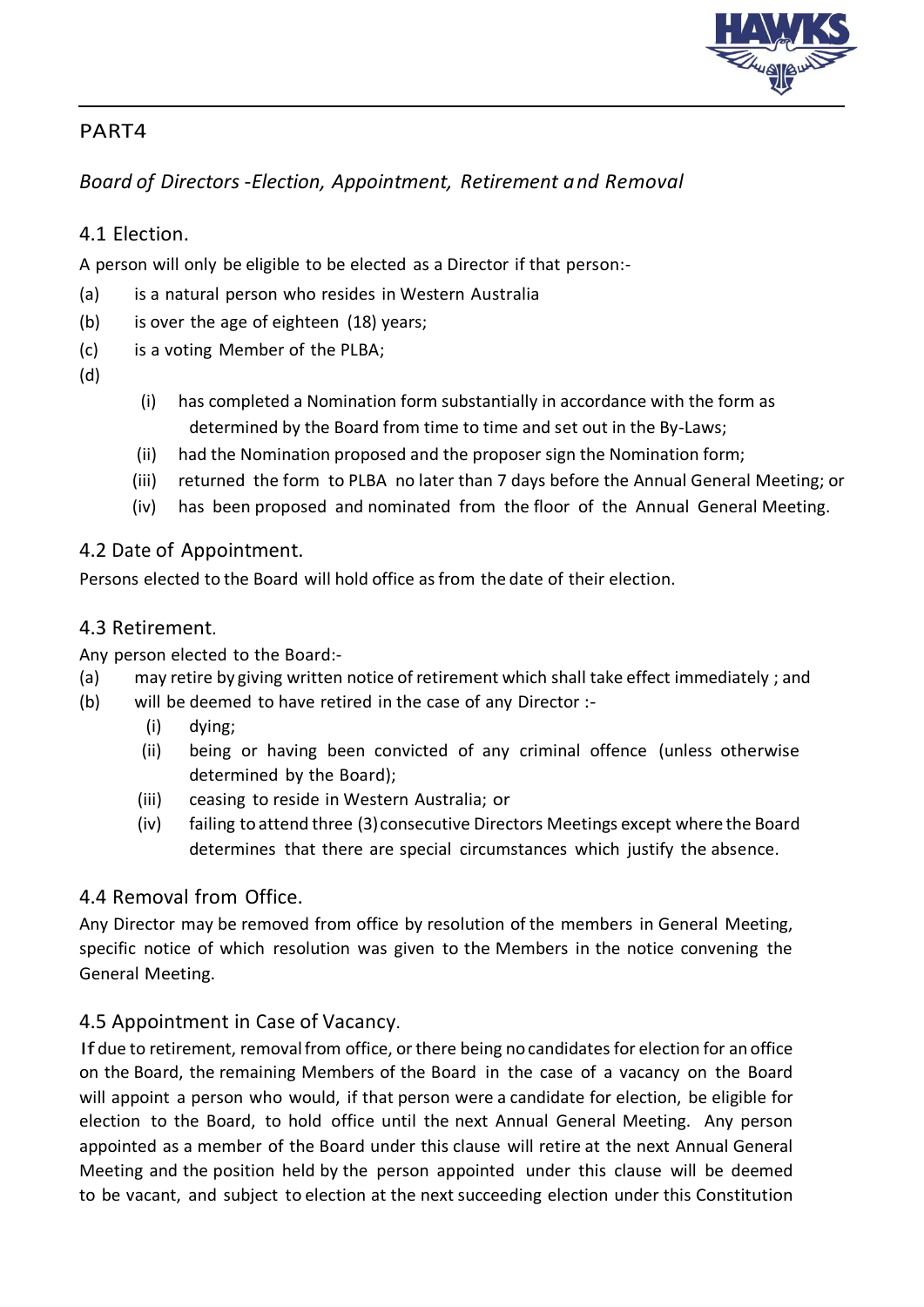

## *Board of Directors* -*Election, Appointment, Retirement and Removal*

## 4.1 Election.

A person will only be eligible to be elected as a Director if that person:-

- (a) is a natural person who resides in Western Australia
- (b) is over the age of eighteen (18) years;
- (c) is a voting Member of the PLBA;
- (d)
- (i) has completed a Nomination form substantially in accordance with the form as determined by the Board from time to time and set out in the By-Laws;
- (ii) had the Nomination proposed and the proposer sign the Nomination form;
- (iii) returned the form to PLBA no later than 7 days before the Annual General Meeting; or
- (iv) has been proposed and nominated from the floor of the Annual General Meeting.

### 4.2 Date of Appointment.

Persons elected to the Board will hold office asfrom the date of their election.

#### 4.3 Retirement.

Any person elected to the Board:-

- (a) may retire by giving written notice of retirement which shall take effect immediately ; and
- (b) will be deemed to have retired in the case of any Director :-
	- (i) dying;
	- (ii) being or having been convicted of any criminal offence (unless otherwise determined by the Board);
	- (iii) ceasing to reside in Western Australia; or
	- (iv) failing to attend three (3)consecutive Directors Meetings except where the Board determines that there are special circumstances which justify the absence.

### 4.4 Removal from Office.

Any Director may be removed from office by resolution of the members in General Meeting, specific notice of which resolution was given to the Members in the notice convening the General Meeting.

### 4.5 Appointment in Case of Vacancy.

If due to retirement, removal from office, or there being no candidates for election for an office on the Board, the remaining Members of the Board in the case of a vacancy on the Board will appoint a person who would, if that person were a candidate for election, be eligible for election to the Board, to hold office until the next Annual General Meeting. Any person appointed as a member of the Board under this clause will retire at the next Annual General Meeting and the position held by the person appointed under this clause will be deemed to be vacant, and subject to election at the next succeeding election under this Constitution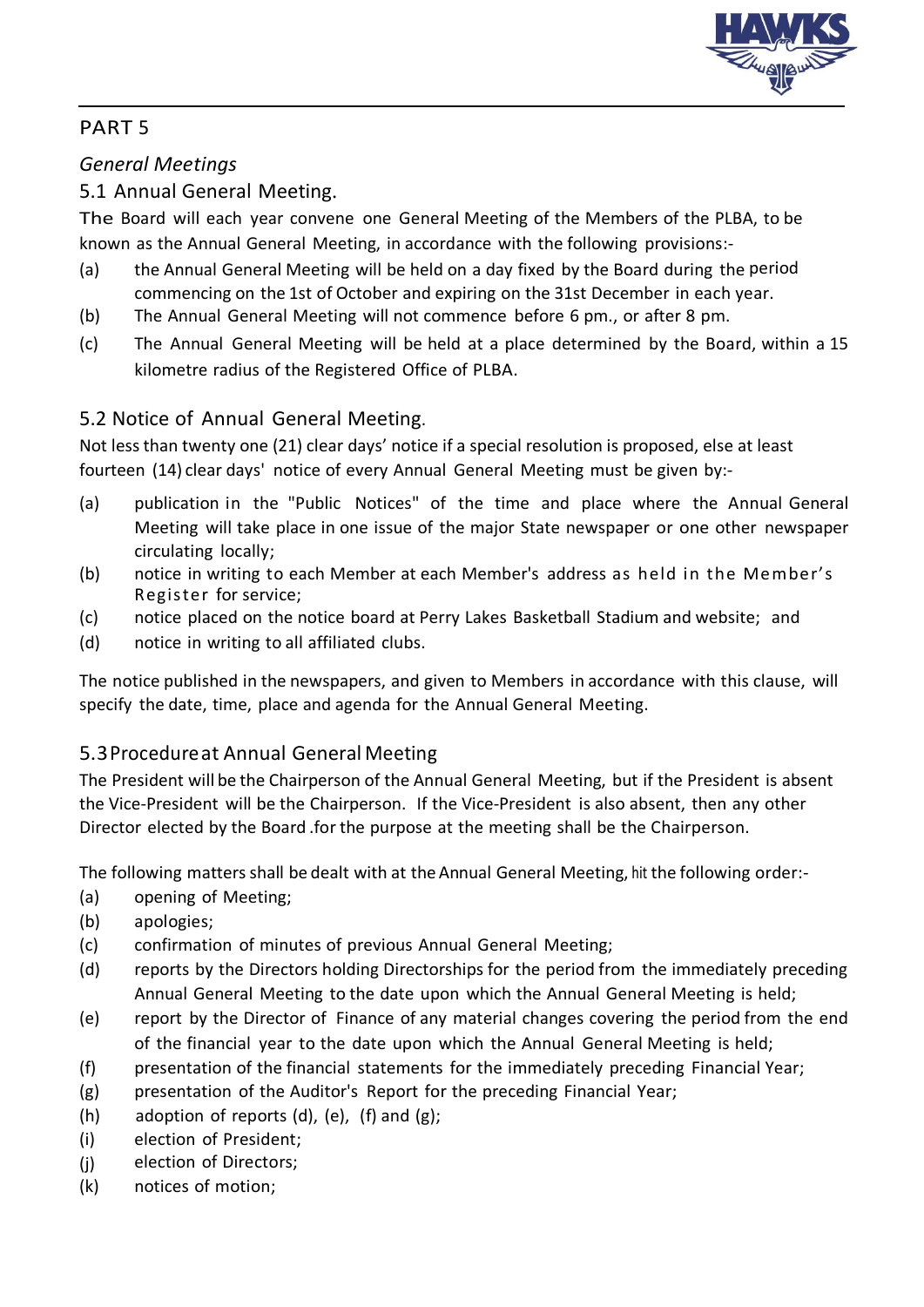

## *General Meetings*

## 5.1 Annual General Meeting.

The Board will each year convene one General Meeting of the Members of the PLBA, to be known as the Annual General Meeting, in accordance with the following provisions:-

- (a) the Annual General Meeting will be held on a day fixed by the Board during the period commencing on the 1st of October and expiring on the 31st December in each year.
- (b) The Annual General Meeting will not commence before 6 pm., or after 8 pm.
- (c) The Annual General Meeting will be held at a place determined by the Board, within a 15 kilometre radius of the Registered Office of PLBA.

## 5.2 Notice of Annual General Meeting.

Not lessthan twenty one (21) clear days' notice if a special resolution is proposed, else at least fourteen (14) clear days' notice of every Annual General Meeting must be given by:-

- (a) publication in the "Public Notices" of the time and place where the Annual General Meeting will take place in one issue of the major State newspaper or one other newspaper circulating locally;
- (b) notice in writing to each Member at each Member's address as held in the Member's Register for service;
- (c) notice placed on the notice board at Perry Lakes Basketball Stadium and website; and
- (d) notice in writing to all affiliated clubs.

The notice published in the newspapers, and given to Members in accordance with this clause, will specify the date, time, place and agenda for the Annual General Meeting.

## 5.3Procedureat Annual General Meeting

The President will be the Chairperson of the Annual General Meeting, but if the President is absent the Vice-President will be the Chairperson. If the Vice-President is also absent, then any other Director elected by the Board .for the purpose at the meeting shall be the Chairperson.

The following matters shall be dealt with at the Annual General Meeting, hit the following order:-

- (a) opening of Meeting;
- (b) apologies;
- (c) confirmation of minutes of previous Annual General Meeting;
- (d) reports by the Directors holding Directorships for the period from the immediately preceding Annual General Meeting to the date upon which the Annual General Meeting is held;
- (e) report by the Director of Finance of any material changes covering the period from the end of the financial year to the date upon which the Annual General Meeting is held;
- (f) presentation of the financial statements for the immediately preceding Financial Year;
- (g) presentation of the Auditor's Report for the preceding Financial Year;
- (h) adoption of reports  $(d)$ ,  $(e)$ ,  $(f)$  and  $(g)$ ;
- (i) election of President;
- (j) election of Directors;
- (k) notices of motion;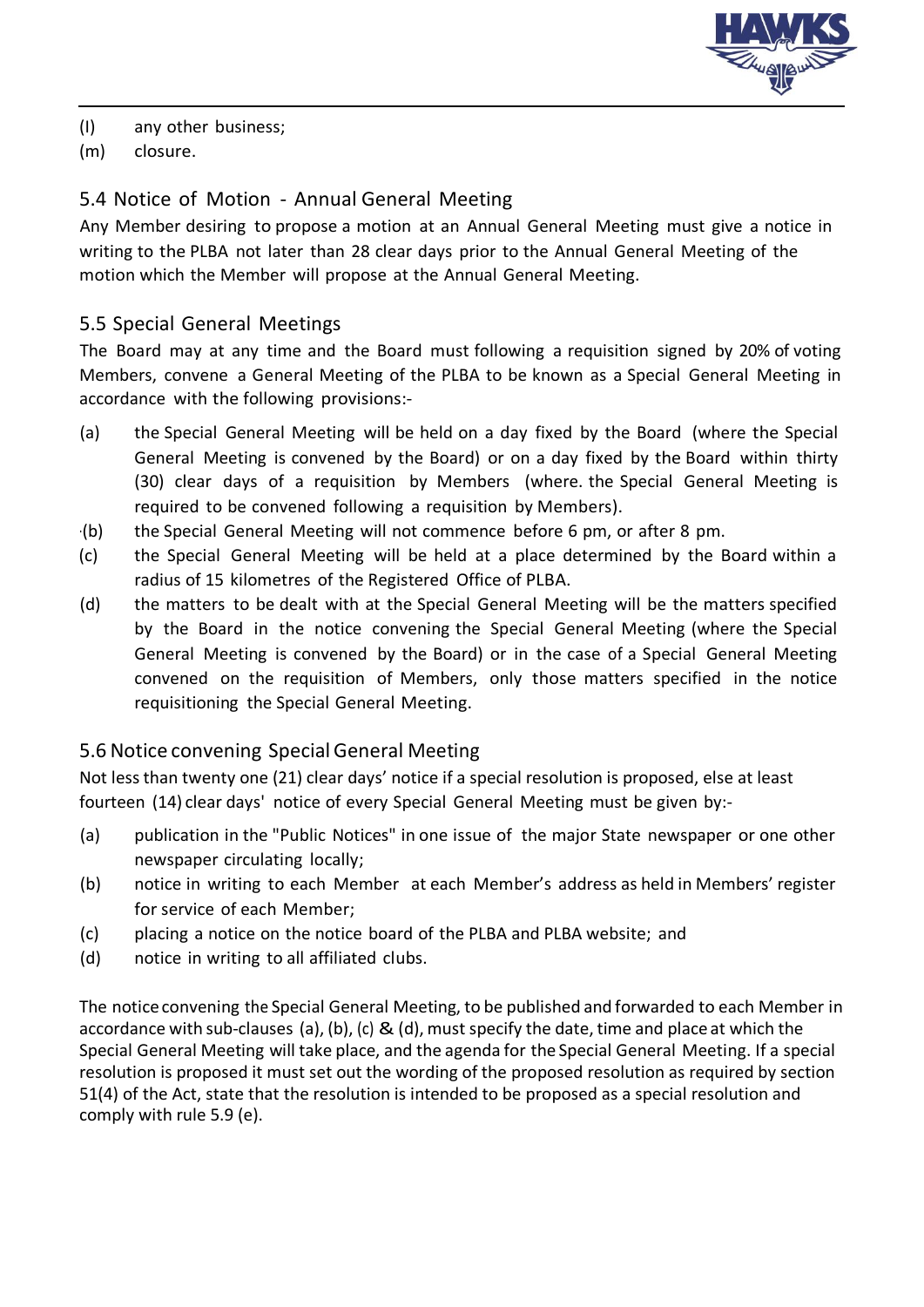

- (I) any other business;
- (m) closure.

#### 5.4 Notice of Motion - Annual General Meeting

Any Member desiring to propose a motion at an Annual General Meeting must give a notice in writing to the PLBA not later than 28 clear days prior to the Annual General Meeting of the motion which the Member will propose at the Annual General Meeting.

#### 5.5 Special General Meetings

The Board may at any time and the Board must following a requisition signed by 20% of voting Members, convene a General Meeting of the PLBA to be known as a Special General Meeting in accordance with the following provisions:-

- (a) the Special General Meeting will be held on a day fixed by the Board (where the Special General Meeting is convened by the Board) or on a day fixed by the Board within thirty (30) clear days of a requisition by Members (where. the Special General Meeting is required to be convened following a requisition by Members).
- ·(b) the Special General Meeting will not commence before 6 pm, or after 8 pm.
- (c) the Special General Meeting will be held at a place determined by the Board within a radius of 15 kilometres of the Registered Office of PLBA.
- (d) the matters to be dealt with at the Special General Meeting will be the matters specified by the Board in the notice convening the Special General Meeting (where the Special General Meeting is convened by the Board) or in the case of a Special General Meeting convened on the requisition of Members, only those matters specified in the notice requisitioning the Special General Meeting.

#### 5.6 Notice convening SpecialGeneral Meeting

Not lessthan twenty one (21) clear days' notice if a special resolution is proposed, else at least fourteen (14) clear days' notice of every Special General Meeting must be given by:-

- (a) publication in the "Public Notices" in one issue of the major State newspaper or one other newspaper circulating locally;
- (b) notice in writing to each Member at each Member's address as held in Members' register for service of each Member;
- (c) placing a notice on the notice board of the PLBA and PLBA website; and
- (d) notice in writing to all affiliated clubs.

The notice convening the Special General Meeting, to be published and forwarded to each Member in accordance with sub-clauses (a), (b), (c) & (d), must specify the date, time and place at which the Special General Meeting will take place, and the agenda for the Special General Meeting. If a special resolution is proposed it must set out the wording of the proposed resolution as required by section 51(4) of the Act, state that the resolution is intended to be proposed as a special resolution and comply with rule 5.9 (e).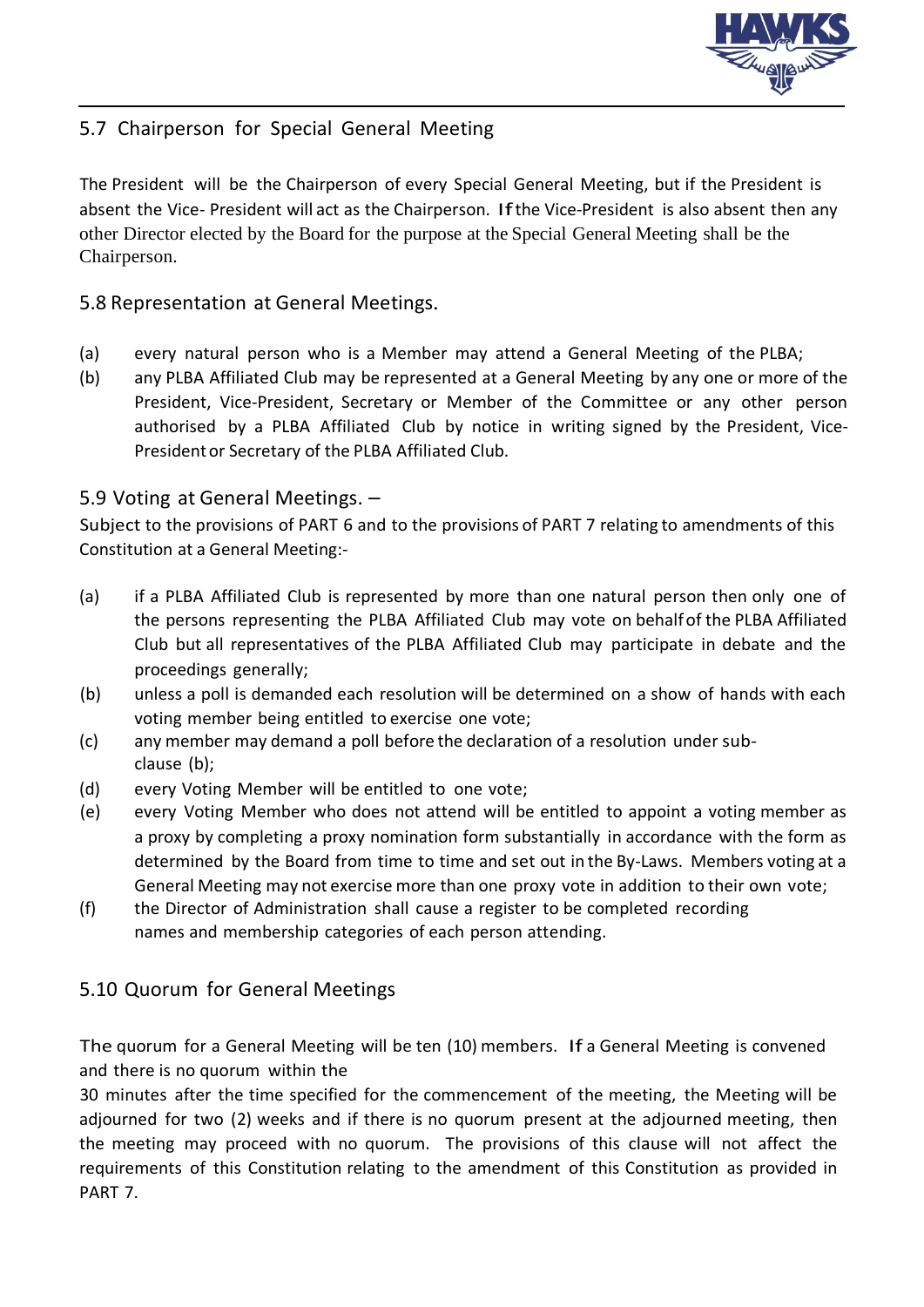

## 5.7 Chairperson for Special General Meeting

The President will be the Chairperson of every Special General Meeting, but if the President is absent the Vice- President will act as the Chairperson. Ifthe Vice-President is also absent then any other Director elected by the Board for the purpose at the Special General Meeting shall be the Chairperson.

#### 5.8 Representation at General Meetings.

- (a) every natural person who is a Member may attend a General Meeting of the PLBA;
- (b) any PLBA Affiliated Club may be represented at a General Meeting by any one or more of the President, Vice-President, Secretary or Member of the Committee or any other person authorised by a PLBA Affiliated Club by notice in writing signed by the President, Vice-Presidentor Secretary of the PLBA Affiliated Club.

### 5.9 Voting at General Meetings. –

Subject to the provisions of PART 6 and to the provisions of PART 7 relating to amendments of this Constitution at a General Meeting:-

- (a) if a PLBA Affiliated Club is represented by more than one natural person then only one of the persons representing the PLBA Affiliated Club may vote on behalfof the PLBA Affiliated Club but all representatives of the PLBA Affiliated Club may participate in debate and the proceedings generally;
- (b) unless a poll is demanded each resolution will be determined on a show of hands with each voting member being entitled to exercise one vote;
- (c) any member may demand a poll before the declaration of a resolution under subclause (b);
- (d) every Voting Member will be entitled to one vote;
- (e) every Voting Member who does not attend will be entitled to appoint a voting member as a proxy by completing a proxy nomination form substantially in accordance with the form as determined by the Board from time to time and set out in the By-Laws. Members voting at a General Meeting may not exercise more than one proxy vote in addition to their own vote;
- (f) the Director of Administration shall cause a register to be completed recording names and membership categories of each person attending.

## 5.10 Quorum for General Meetings

The quorum for a General Meeting will be ten (10) members. If a General Meeting is convened and there is no quorum within the

30 minutes after the time specified for the commencement of the meeting, the Meeting will be adjourned for two (2) weeks and if there is no quorum present at the adjourned meeting, then the meeting may proceed with no quorum. The provisions of this clause will not affect the requirements of this Constitution relating to the amendment of this Constitution as provided in PART 7.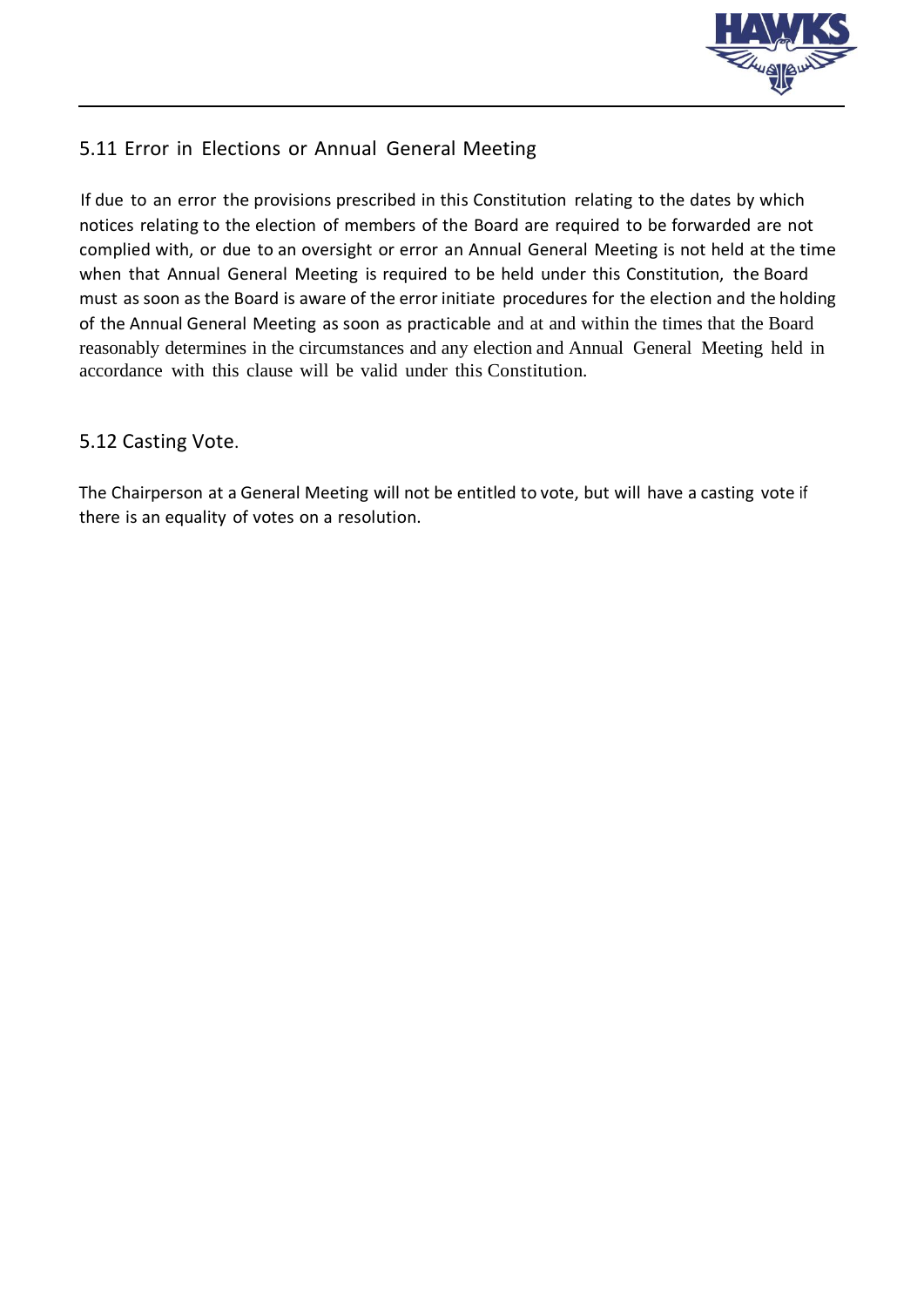

## 5.11 Error in Elections or Annual General Meeting

If due to an error the provisions prescribed in this Constitution relating to the dates by which notices relating to the election of members of the Board are required to be forwarded are not complied with, or due to an oversight or error an Annual General Meeting is not held at the time when that Annual General Meeting is required to be held under this Constitution, the Board must as soon as the Board is aware of the error initiate procedures for the election and the holding of the Annual General Meeting as soon as practicable and at and within the times that the Board reasonably determines in the circumstances and any election and Annual General Meeting held in accordance with this clause will be valid under this Constitution.

#### 5.12 Casting Vote.

The Chairperson at a General Meeting will not be entitled to vote, but will have a casting vote if there is an equality of votes on a resolution.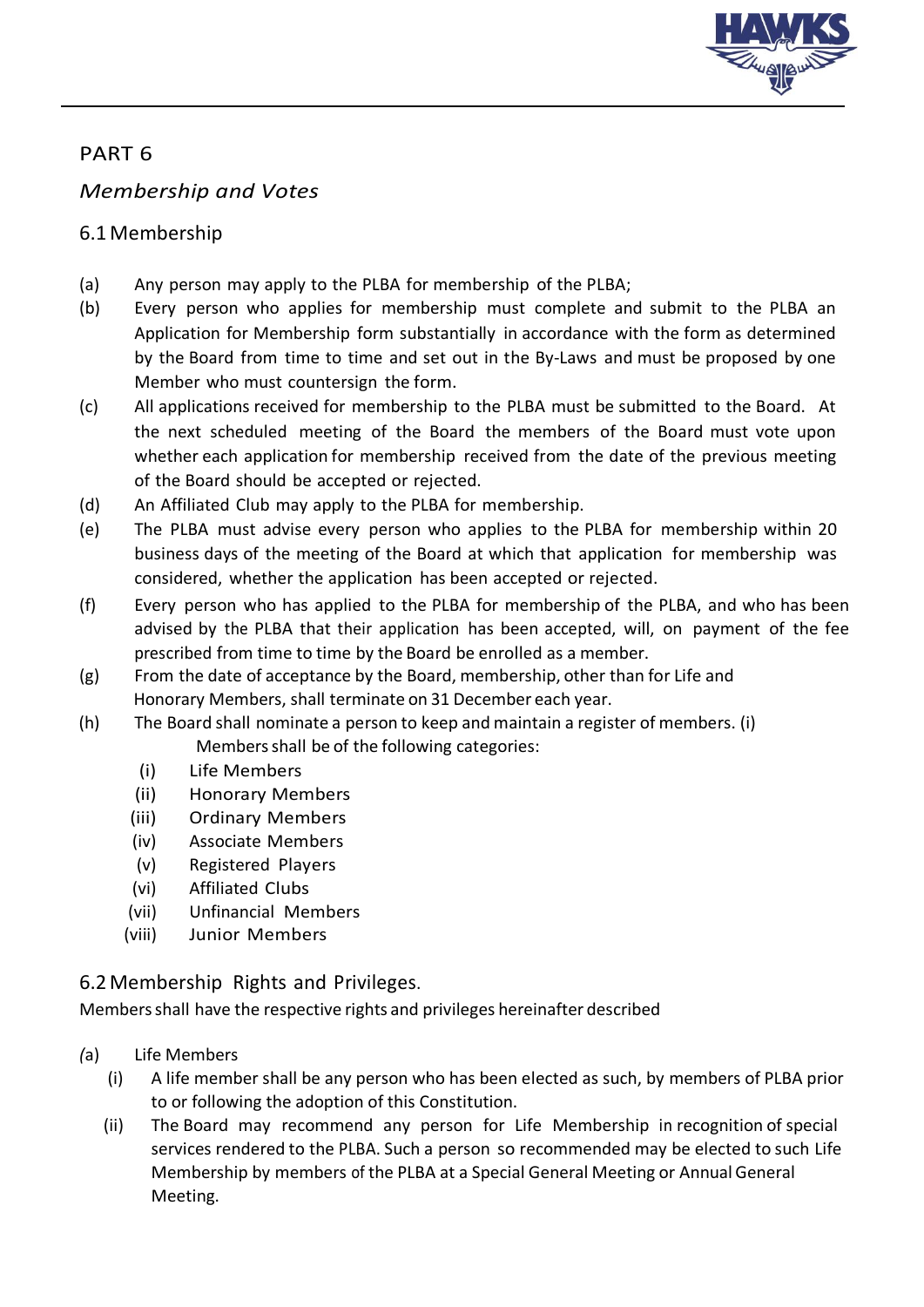

## *Membership and Votes*

## 6.1 Membership

- (a) Any person may apply to the PLBA for membership of the PLBA;
- (b) Every person who applies for membership must complete and submit to the PLBA an Application for Membership form substantially in accordance with the form as determined by the Board from time to time and set out in the By-Laws and must be proposed by one Member who must countersign the form.
- (c) All applications received for membership to the PLBA must be submitted to the Board. At the next scheduled meeting of the Board the members of the Board must vote upon whether each application for membership received from the date of the previous meeting of the Board should be accepted or rejected.
- (d) An Affiliated Club may apply to the PLBA for membership.
- (e) The PLBA must advise every person who applies to the PLBA for membership within 20 business days of the meeting of the Board at which that application for membership was considered, whether the application has been accepted or rejected.
- (f) Every person who has applied to the PLBA for membership of the PLBA, and who has been advised by the PLBA that their application has been accepted, will, on payment of the fee prescribed from time to time by the Board be enrolled as a member.
- (g) From the date of acceptance by the Board, membership, other than for Life and Honorary Members, shall terminate on 31 December each year.
- (h) The Board shall nominate a person to keep and maintain a register of members. (i) Members shall be of the following categories:
	- (i) Life Members
	- (ii) Honorary Members
	- (iii) Ordinary Members
	- (iv) Associate Members
	- (v) Registered Players
	- (vi) Affiliated Clubs
	- (vii) Unfinancial Members
	- (viii) Junior Members

### 6.2Membership Rights and Privileges.

Membersshall have the respective rights and privileges hereinafter described

- *(*a) Life Members
	- (i) A life member shall be any person who has been elected as such, by members of PLBA prior to or following the adoption of this Constitution.
	- (ii) The Board may recommend any person for Life Membership in recognition of special services rendered to the PLBA. Such a person so recommended may be elected to such Life Membership by members of the PLBA at a Special General Meeting or AnnualGeneral Meeting.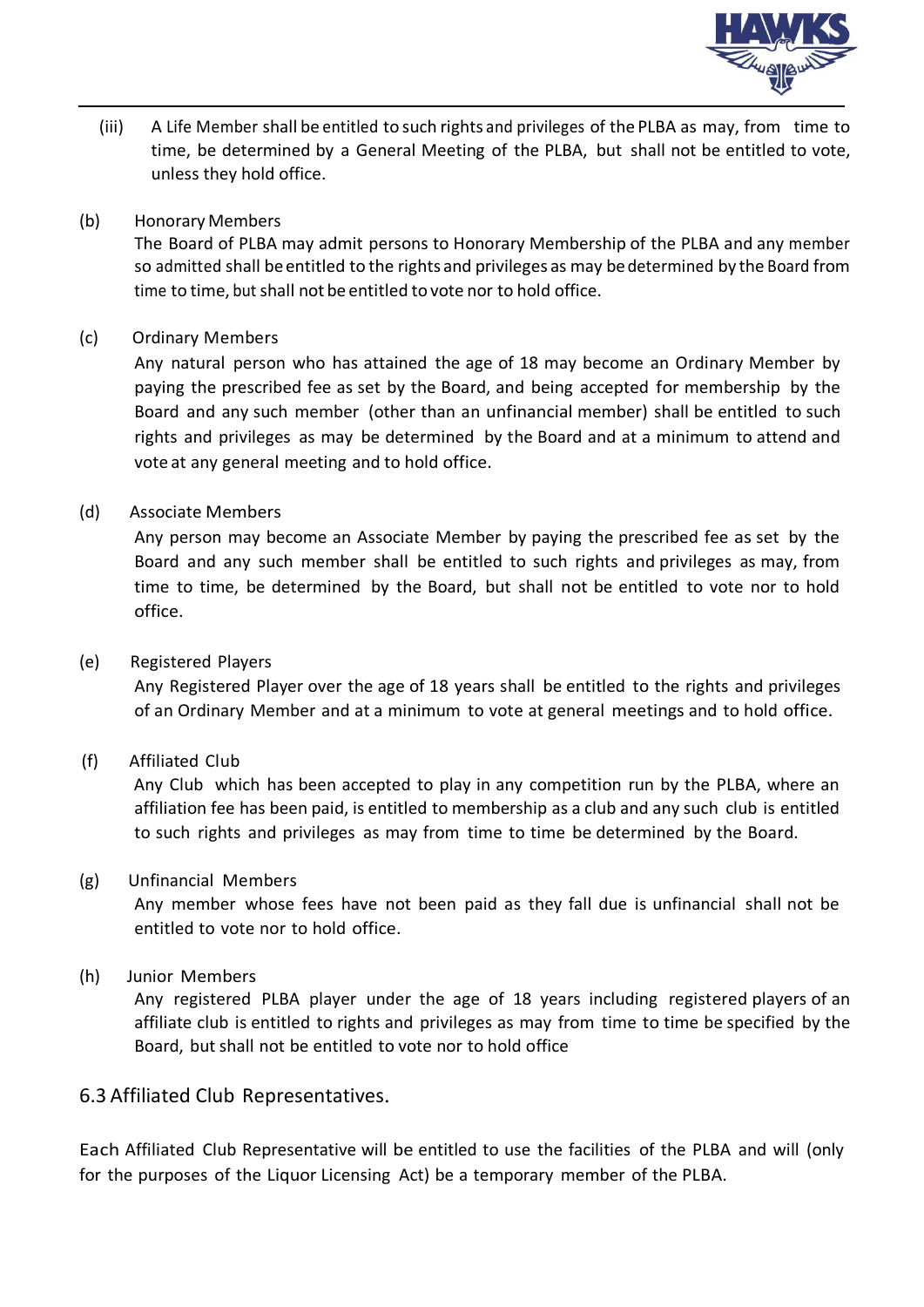

(iii) A Life Member shall be entitled to such rights and privileges of the PLBA as may, from time to time, be determined by a General Meeting of the PLBA, but shall not be entitled to vote, unless they hold office.

#### (b) Honorary Members

The Board of PLBA may admit persons to Honorary Membership of the PLBA and any member so admitted shall be entitled to the rights and privileges as may be determined by the Board from time to time, but shall not be entitled to vote nor to hold office.

#### (c) Ordinary Members

Any natural person who has attained the age of 18 may become an Ordinary Member by paying the prescribed fee as set by the Board, and being accepted for membership by the Board and any such member (other than an unfinancial member) shall be entitled to such rights and privileges as may be determined by the Board and at a minimum to attend and vote at any general meeting and to hold office.

#### (d) Associate Members

Any person may become an Associate Member by paying the prescribed fee as set by the Board and any such member shall be entitled to such rights and privileges as may, from time to time, be determined by the Board, but shall not be entitled to vote nor to hold office.

#### (e) Registered Players

Any Registered Player over the age of 18 years shall be entitled to the rights and privileges of an Ordinary Member and at a minimum to vote at general meetings and to hold office.

#### (f) Affiliated Club

Any Club which has been accepted to play in any competition run by the PLBA, where an affiliation fee has been paid, is entitled to membership as a club and any such club is entitled to such rights and privileges as may from time to time be determined by the Board.

#### (g) Unfinancial Members

Any member whose fees have not been paid as they fall due is unfinancial shall not be entitled to vote nor to hold office.

#### (h) Junior Members

Any registered PLBA player under the age of 18 years including registered players of an affiliate club is entitled to rights and privileges as may from time to time be specified by the Board, but shall not be entitled to vote nor to hold office

#### 6.3 Affiliated Club Representatives.

Each Affiliated Club Representative will be entitled to use the facilities of the PLBA and will (only for the purposes of the Liquor Licensing Act) be a temporary member of the PLBA.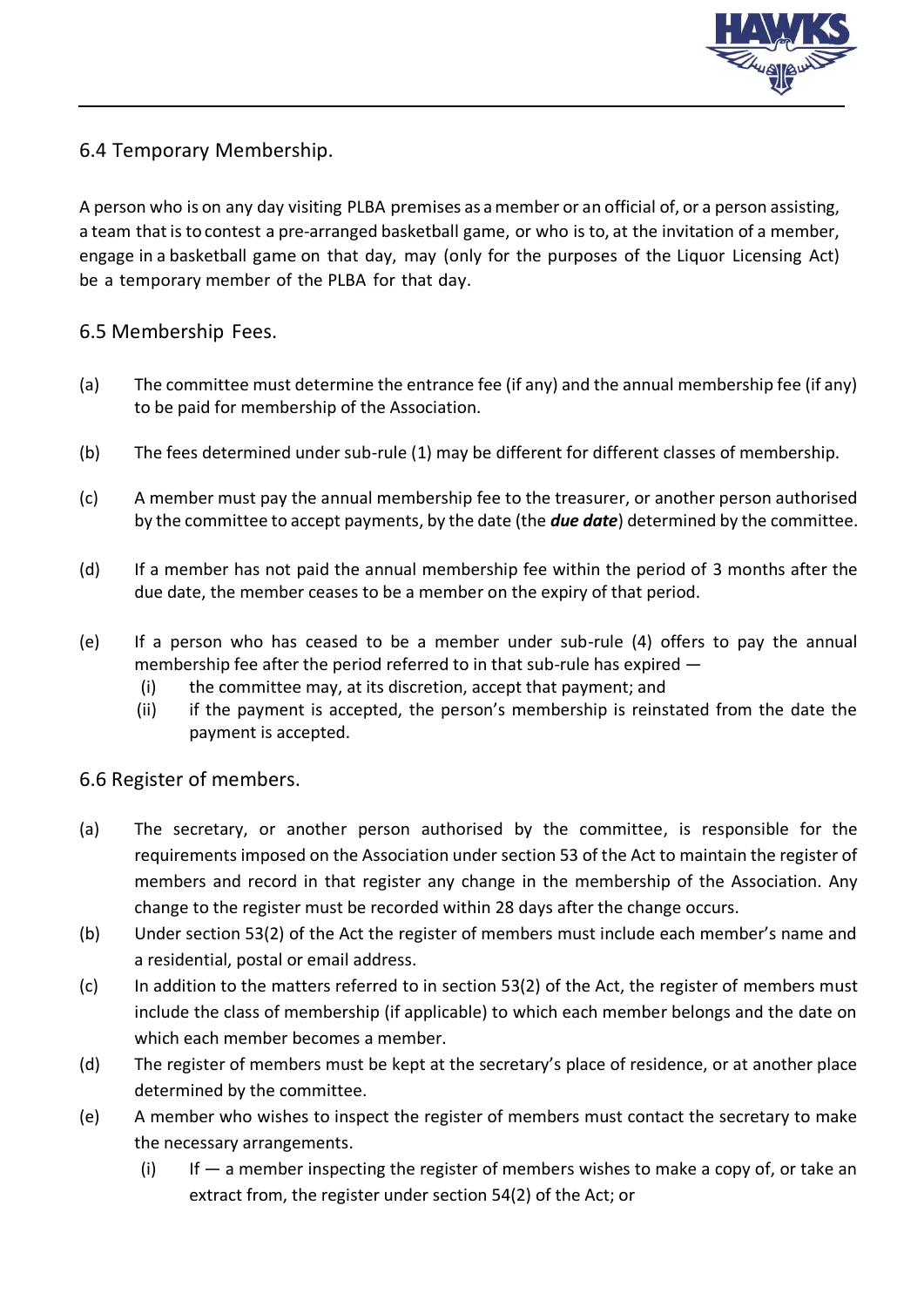

### 6.4 Temporary Membership.

A person who is on any day visiting PLBA premises as amember or an official of, or a person assisting, a team that is to contest a pre-arranged basketball game, or who is to, at the invitation of a member, engage in a basketball game on that day, may (only for the purposes of the Liquor Licensing Act) be a temporary member of the PLBA for that day.

#### 6.5 Membership Fees.

- (a) The committee must determine the entrance fee (if any) and the annual membership fee (if any) to be paid for membership of the Association.
- (b) The fees determined under sub-rule (1) may be different for different classes of membership.
- (c) A member must pay the annual membership fee to the treasurer, or another person authorised by the committee to accept payments, by the date (the *due date*) determined by the committee.
- (d) If a member has not paid the annual membership fee within the period of 3 months after the due date, the member ceases to be a member on the expiry of that period.
- (e) If a person who has ceased to be a member under sub-rule (4) offers to pay the annual membership fee after the period referred to in that sub-rule has expired —
	- (i) the committee may, at its discretion, accept that payment; and
	- (ii) if the payment is accepted, the person's membership is reinstated from the date the payment is accepted.

#### 6.6 Register of members.

- (a) The secretary, or another person authorised by the committee, is responsible for the requirements imposed on the Association under section 53 of the Act to maintain the register of members and record in that register any change in the membership of the Association. Any change to the register must be recorded within 28 days after the change occurs.
- (b) Under section 53(2) of the Act the register of members must include each member's name and a residential, postal or email address.
- (c) In addition to the matters referred to in section 53(2) of the Act, the register of members must include the class of membership (if applicable) to which each member belongs and the date on which each member becomes a member.
- (d) The register of members must be kept at the secretary's place of residence, or at another place determined by the committee.
- (e) A member who wishes to inspect the register of members must contact the secretary to make the necessary arrangements.
	- (i) If  $-$  a member inspecting the register of members wishes to make a copy of, or take an extract from, the register under section 54(2) of the Act; or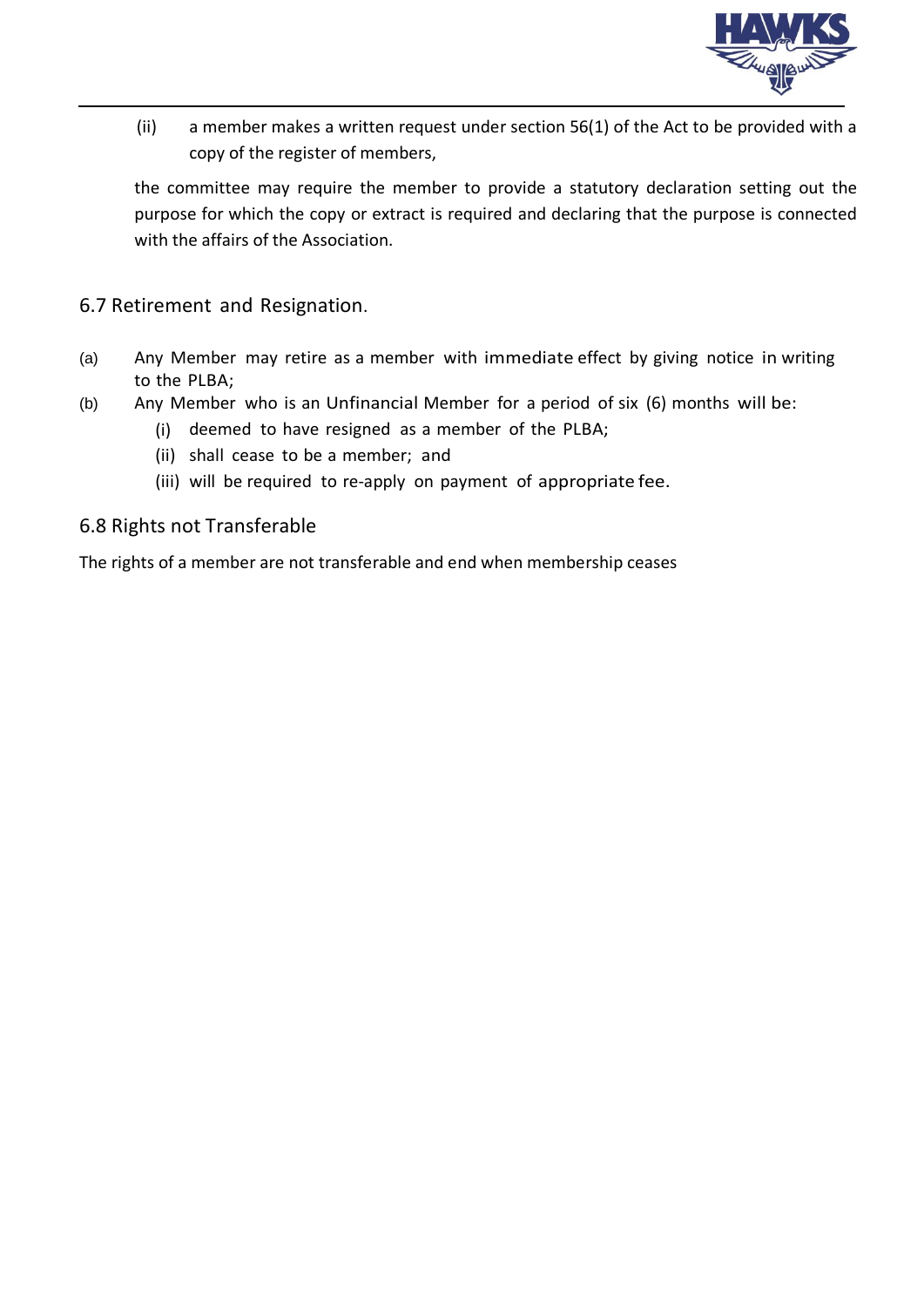

(ii) a member makes a written request under section 56(1) of the Act to be provided with a copy of the register of members,

the committee may require the member to provide a statutory declaration setting out the purpose for which the copy or extract is required and declaring that the purpose is connected with the affairs of the Association.

6.7 Retirement and Resignation.

- (a) Any Member may retire as a member with immediate effect by giving notice in writing to the PLBA;
- (b) Any Member who is an Unfinancial Member for a period of six (6) months will be:
	- (i) deemed to have resigned as a member of the PLBA;
	- (ii) shall cease to be a member; and
	- (iii) will be required to re-apply on payment of appropriate fee.

#### 6.8 Rights not Transferable

The rights of a member are not transferable and end when membership ceases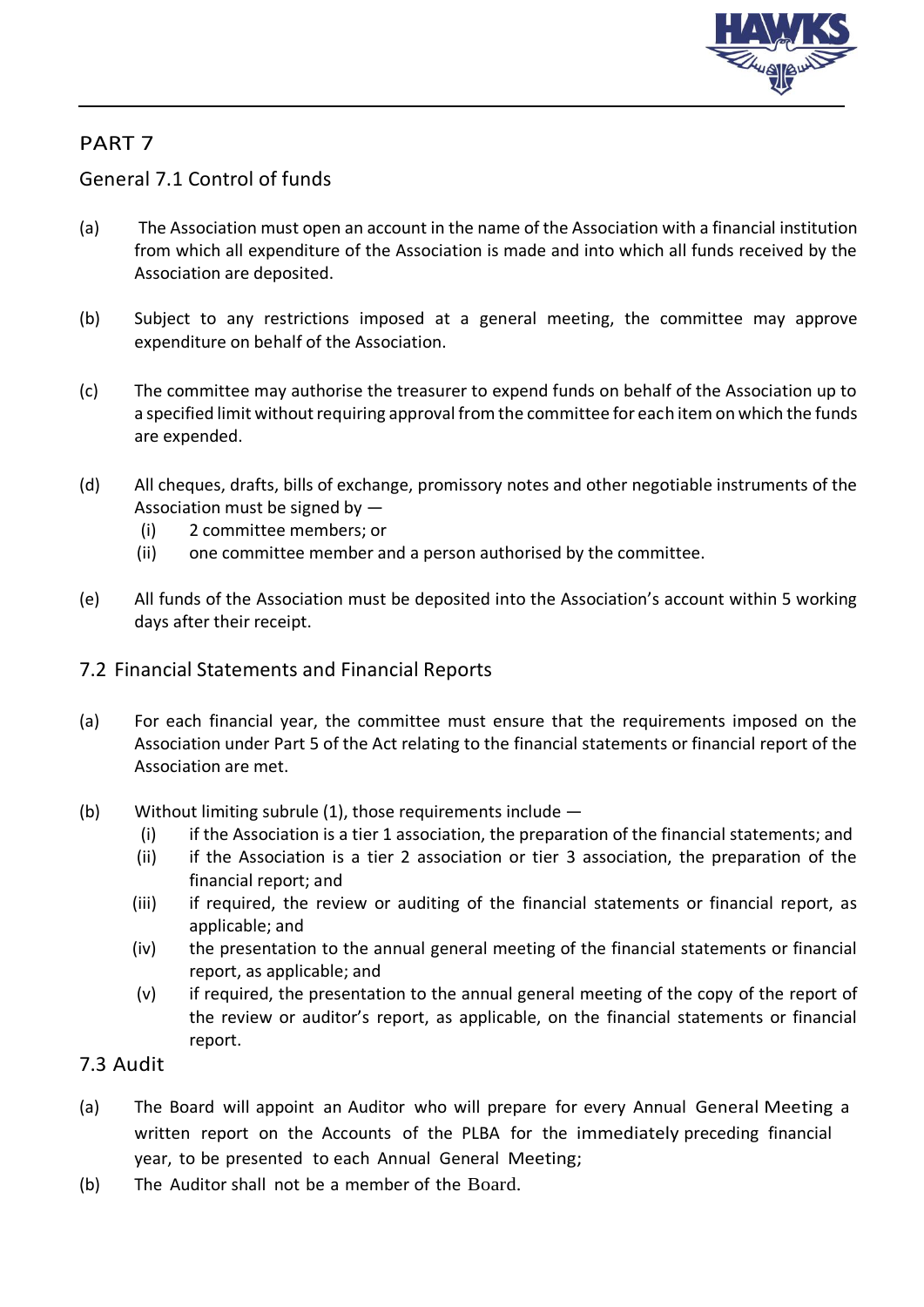

## General 7.1 Control of funds

- (a) The Association must open an account in the name of the Association with a financial institution from which all expenditure of the Association is made and into which all funds received by the Association are deposited.
- (b) Subject to any restrictions imposed at a general meeting, the committee may approve expenditure on behalf of the Association.
- (c) The committee may authorise the treasurer to expend funds on behalf of the Association up to a specified limit without requiring approval from the committee for each item on which the funds are expended.
- (d) All cheques, drafts, bills of exchange, promissory notes and other negotiable instruments of the Association must be signed by —
	- (i) 2 committee members; or
	- (ii) one committee member and a person authorised by the committee.
- (e) All funds of the Association must be deposited into the Association's account within 5 working days after their receipt.
- 7.2 Financial Statements and Financial Reports
- (a) For each financial year, the committee must ensure that the requirements imposed on the Association under Part 5 of the Act relating to the financial statements or financial report of the Association are met.
- (b) Without limiting subrule (1), those requirements include
	- (i) if the Association is a tier 1 association, the preparation of the financial statements; and
	- (ii) if the Association is a tier 2 association or tier 3 association, the preparation of the financial report; and
	- (iii) if required, the review or auditing of the financial statements or financial report, as applicable; and
	- (iv) the presentation to the annual general meeting of the financial statements or financial report, as applicable; and
	- (v) if required, the presentation to the annual general meeting of the copy of the report of the review or auditor's report, as applicable, on the financial statements or financial report.

## 7.3 Audit

- (a) The Board will appoint an Auditor who will prepare for every Annual General Meeting a written report on the Accounts of the PLBA for the immediately preceding financial year, to be presented to each Annual General Meeting;
- (b) The Auditor shall not be a member of the Board.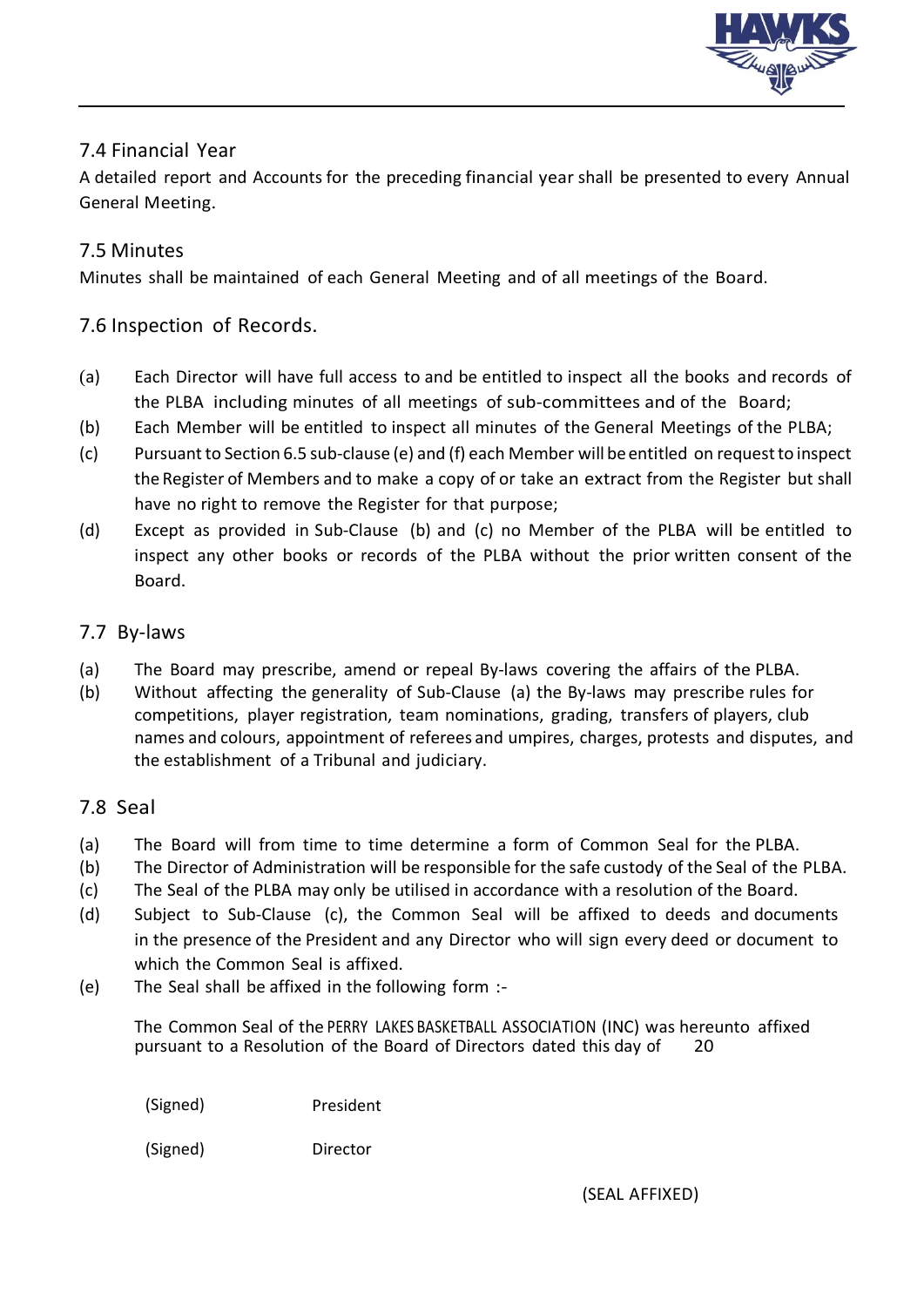

## 7.4 Financial Year

A detailed report and Accounts for the preceding financial year shall be presented to every Annual General Meeting.

#### 7.5 Minutes

Minutes shall be maintained of each General Meeting and of all meetings of the Board.

#### 7.6 Inspection of Records.

- (a) Each Director will have full access to and be entitled to inspect all the books and records of the PLBA including minutes of all meetings of sub-committees and of the Board;
- (b) Each Member will be entitled to inspect all minutes of the General Meetings of the PLBA;
- (c) Pursuant to Section 6.5 sub-clause (e) and (f) each Member will beentitled on requestto inspect the Register of Members and to make a copy of or take an extract from the Register but shall have no right to remove the Register for that purpose;
- (d) Except as provided in Sub-Clause (b) and (c) no Member of the PLBA will be entitled to inspect any other books or records of the PLBA without the prior written consent of the Board.

#### 7.7 By-laws

- (a) The Board may prescribe, amend or repeal By-laws covering the affairs of the PLBA.
- (b) Without affecting the generality of Sub-Clause (a) the By-laws may prescribe rules for competitions, player registration, team nominations, grading, transfers of players, club names and colours, appointment of referees and umpires, charges, protests and disputes, and the establishment of a Tribunal and judiciary.

#### 7.8 Seal

- (a) The Board will from time to time determine a form of Common Seal for the PLBA.
- (b) The Director of Administration will be responsible for the safe custody of the Seal of the PLBA.
- (c) The Seal of the PLBA may only be utilised in accordance with a resolution of the Board.
- (d) Subject to Sub-Clause (c), the Common Seal will be affixed to deeds and documents in the presence of the President and any Director who will sign every deed or document to which the Common Seal is affixed.
- (e) The Seal shall be affixed in the following form :-

The Common Seal of the PERRY LAKES BASKETBALL ASSOCIATION (INC) was hereunto affixed pursuant to a Resolution of the Board of Directors dated this day of 20

(Signed) President

(Signed) Director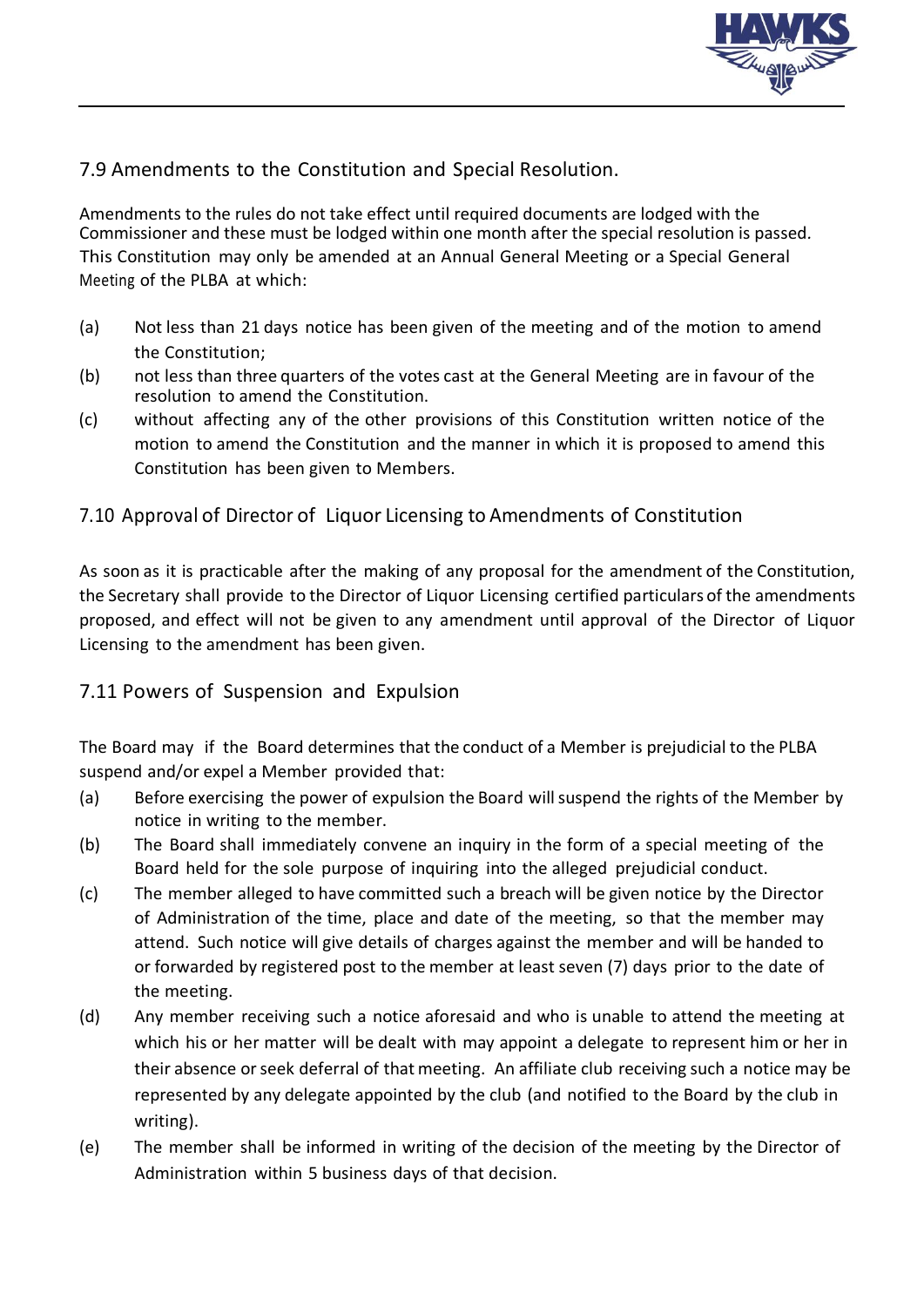

#### 7.9 Amendments to the Constitution and Special Resolution.

Amendments to the rules do not take effect until required documents are lodged with the Commissioner and these must be lodged within one month after the special resolution is passed*.* This Constitution may only be amended at an Annual General Meeting or a Special General Meeting of the PLBA at which:

- (a) Not less than 21 days notice has been given of the meeting and of the motion to amend the Constitution;
- (b) not less than three quarters of the votes cast at the General Meeting are in favour of the resolution to amend the Constitution.
- (c) without affecting any of the other provisions of this Constitution written notice of the motion to amend the Constitution and the manner in which it is proposed to amend this Constitution has been given to Members.

#### 7.10 Approval of Director of Liquor Licensing to Amendments of Constitution

As soon as it is practicable after the making of any proposal for the amendment of the Constitution, the Secretary shall provide to the Director of Liquor Licensing certified particulars of the amendments proposed, and effect will not be given to any amendment until approval of the Director of Liquor Licensing to the amendment has been given.

#### 7.11 Powers of Suspension and Expulsion

The Board may if the Board determines that the conduct of a Member is prejudicial to the PLBA suspend and/or expel a Member provided that:

- (a) Before exercising the power of expulsion the Board willsuspend the rights of the Member by notice in writing to the member.
- (b) The Board shall immediately convene an inquiry in the form of a special meeting of the Board held for the sole purpose of inquiring into the alleged prejudicial conduct.
- (c) The member alleged to have committed such a breach will be given notice by the Director of Administration of the time, place and date of the meeting, so that the member may attend. Such notice will give details of charges against the member and will be handed to or forwarded by registered post to the member at least seven (7) days prior to the date of the meeting.
- (d) Any member receiving such a notice aforesaid and who is unable to attend the meeting at which his or her matter will be dealt with may appoint a delegate to represent him or her in their absence orseek deferral of that meeting. An affiliate club receiving such a notice may be represented by any delegate appointed by the club (and notified to the Board by the club in writing).
- (e) The member shall be informed in writing of the decision of the meeting by the Director of Administration within 5 business days of that decision.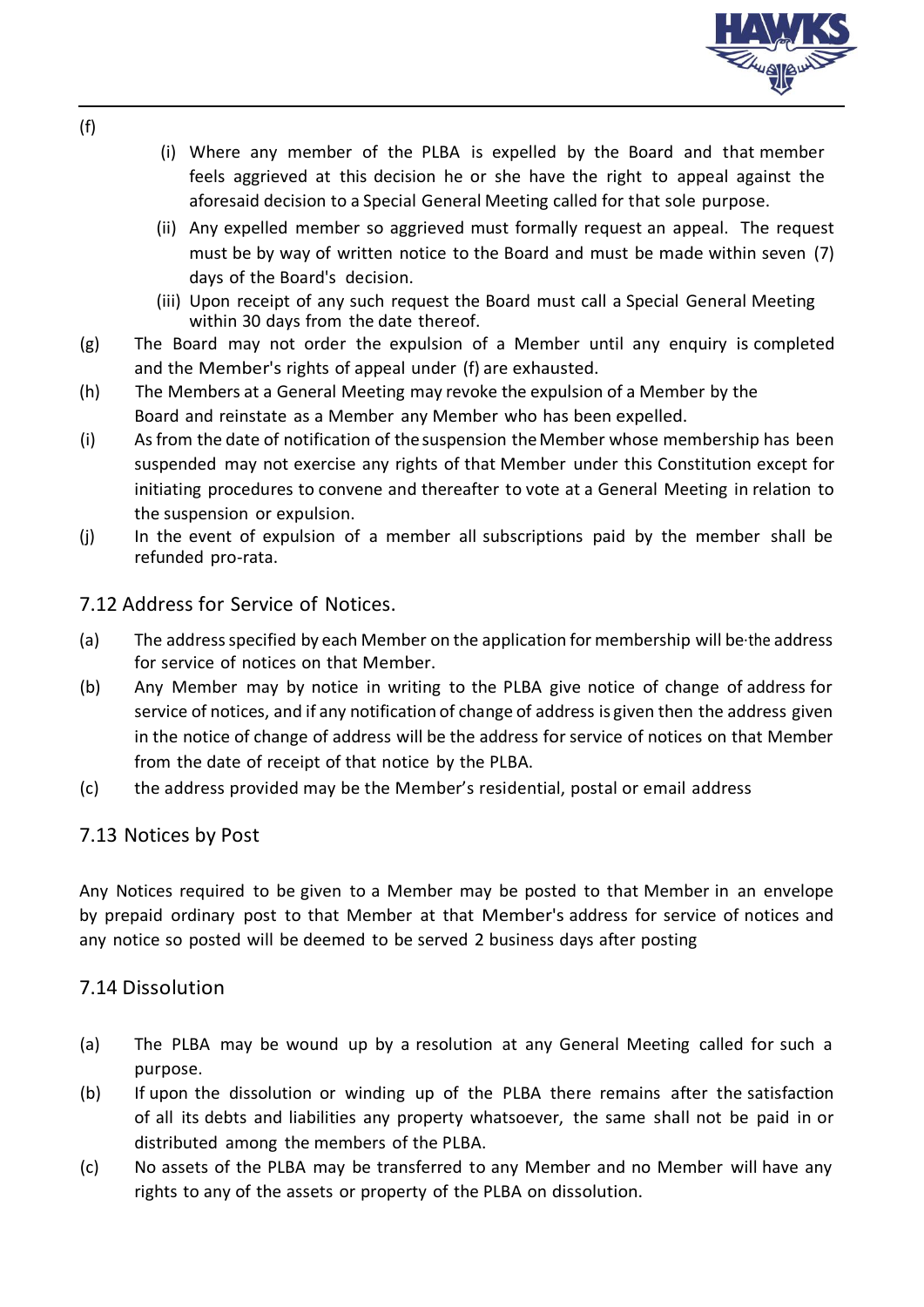

- (i) Where any member of the PLBA is expelled by the Board and that member feels aggrieved at this decision he or she have the right to appeal against the aforesaid decision to a Special General Meeting called for that sole purpose.
- (ii) Any expelled member so aggrieved must formally request an appeal. The request must be by way of written notice to the Board and must be made within seven (7) days of the Board's decision.
- (iii) Upon receipt of any such request the Board must call a Special General Meeting within 30 days from the date thereof.
- (g) The Board may not order the expulsion of a Member until any enquiry is completed and the Member's rights of appeal under (f) are exhausted.
- (h) The Members at a General Meeting may revoke the expulsion of a Member by the Board and reinstate as a Member any Member who has been expelled.
- (i) Asfrom the date of notification of thesuspension theMember whose membership has been suspended may not exercise any rights of that Member under this Constitution except for initiating procedures to convene and thereafter to vote at a General Meeting in relation to the suspension or expulsion.
- (j) In the event of expulsion of a member all subscriptions paid by the member shall be refunded pro-rata.

#### 7.12 Address for Service of Notices.

- (a) The addressspecified by each Member on the application for membership will be·the address for service of notices on that Member.
- (b) Any Member may by notice in writing to the PLBA give notice of change of address for service of notices, and if any notification of change of address is given then the address given in the notice of change of address will be the address for service of notices on that Member from the date of receipt of that notice by the PLBA.
- (c) the address provided may be the Member's residential, postal or email address

#### 7.13 Notices by Post

Any Notices required to be given to a Member may be posted to that Member in an envelope by prepaid ordinary post to that Member at that Member's address for service of notices and any notice so posted will be deemed to be served 2 business days after posting

### 7.14 Dissolution

- (a) The PLBA may be wound up by a resolution at any General Meeting called for such a purpose.
- (b) If upon the dissolution or winding up of the PLBA there remains after the satisfaction of all its debts and liabilities any property whatsoever, the same shall not be paid in or distributed among the members of the PLBA.
- (c) No assets of the PLBA may be transferred to any Member and no Member will have any rights to any of the assets or property of the PLBA on dissolution.

(f)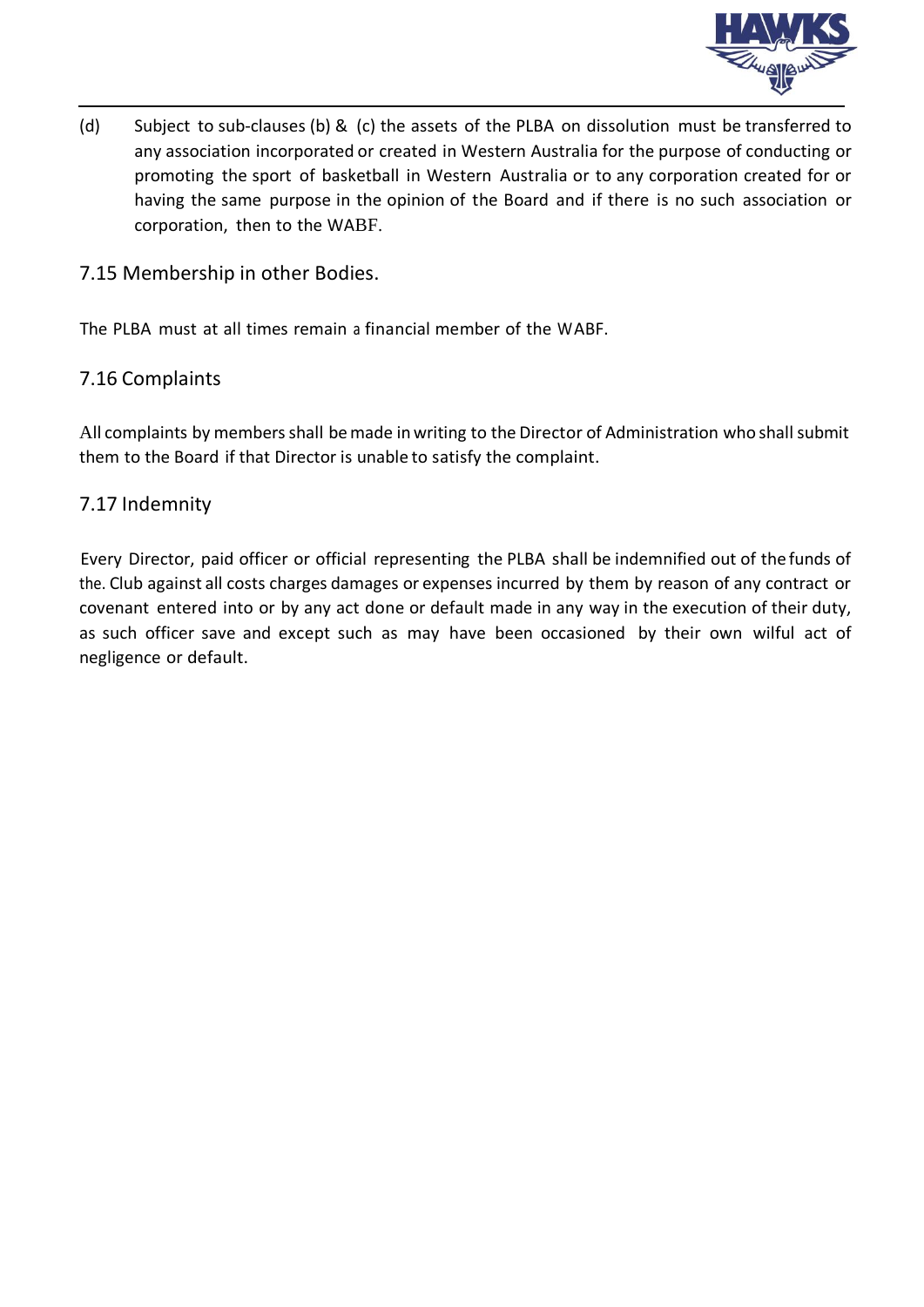

(d) Subject to sub-clauses (b) & (c) the assets of the PLBA on dissolution must be transferred to any association incorporated or created in Western Australia for the purpose of conducting or promoting the sport of basketball in Western Australia or to any corporation created for or having the same purpose in the opinion of the Board and if there is no such association or corporation, then to the WABF.

#### 7.15 Membership in other Bodies.

The PLBA must at all times remain a financial member of the WABF.

#### 7.16 Complaints

All complaints by members shall be made in writing to the Director of Administration who shall submit them to the Board if that Director is unable to satisfy the complaint.

#### 7.17 Indemnity

Every Director, paid officer or official representing the PLBA shall be indemnified out of the funds of the. Club against all costs charges damages or expenses incurred by them by reason of any contract or covenant entered into or by any act done or default made in any way in the execution of their duty, as such officer save and except such as may have been occasioned by their own wilful act of negligence or default.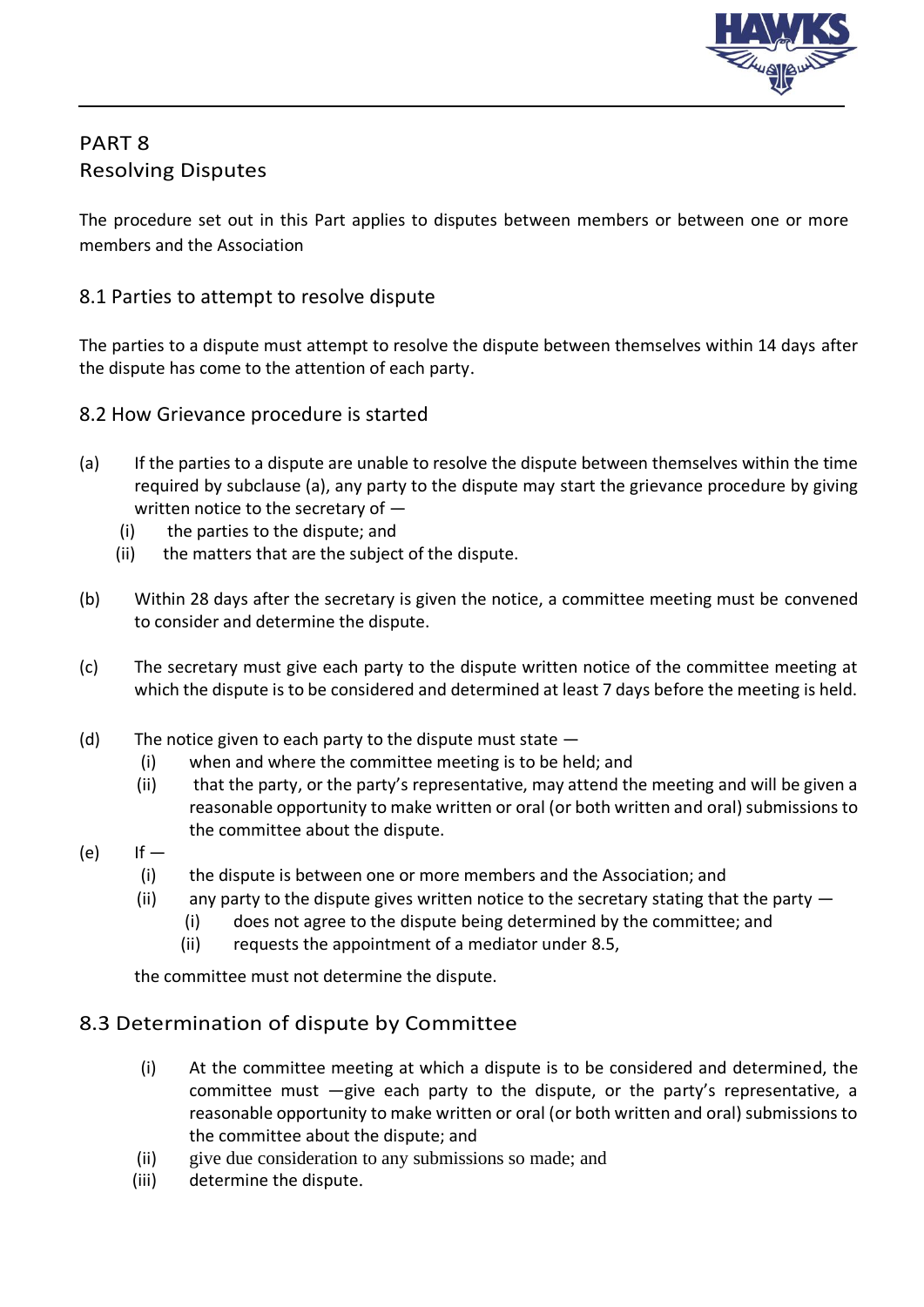

## PART 8 Resolving Disputes

The procedure set out in this Part applies to disputes between members or between one or more members and the Association

#### 8.1 Parties to attempt to resolve dispute

The parties to a dispute must attempt to resolve the dispute between themselves within 14 days after the dispute has come to the attention of each party.

- 8.2 How Grievance procedure is started
- (a) If the parties to a dispute are unable to resolve the dispute between themselves within the time required by subclause (a), any party to the dispute may start the grievance procedure by giving written notice to the secretary of —
	- (i) the parties to the dispute; and
	- (ii) the matters that are the subject of the dispute.
- (b) Within 28 days after the secretary is given the notice, a committee meeting must be convened to consider and determine the dispute.
- (c) The secretary must give each party to the dispute written notice of the committee meeting at which the dispute is to be considered and determined at least 7 days before the meeting is held.
- (d) The notice given to each party to the dispute must state  $-$ 
	- (i) when and where the committee meeting is to be held; and
	- (ii) that the party, or the party's representative, may attend the meeting and will be given a reasonable opportunity to make written or oral (or both written and oral) submissions to the committee about the dispute.
- $(e)$  If  $-$ 
	- (i) the dispute is between one or more members and the Association; and
	- (ii) any party to the dispute gives written notice to the secretary stating that the party  $-$ 
		- (i) does not agree to the dispute being determined by the committee; and
		- (ii) requests the appointment of a mediator under 8.5,

the committee must not determine the dispute.

### 8.3 Determination of dispute by Committee

- (i) At the committee meeting at which a dispute is to be considered and determined, the committee must —give each party to the dispute, or the party's representative, a reasonable opportunity to make written or oral (or both written and oral) submissions to the committee about the dispute; and
- (ii) give due consideration to any submissions so made; and
- (iii) determine the dispute.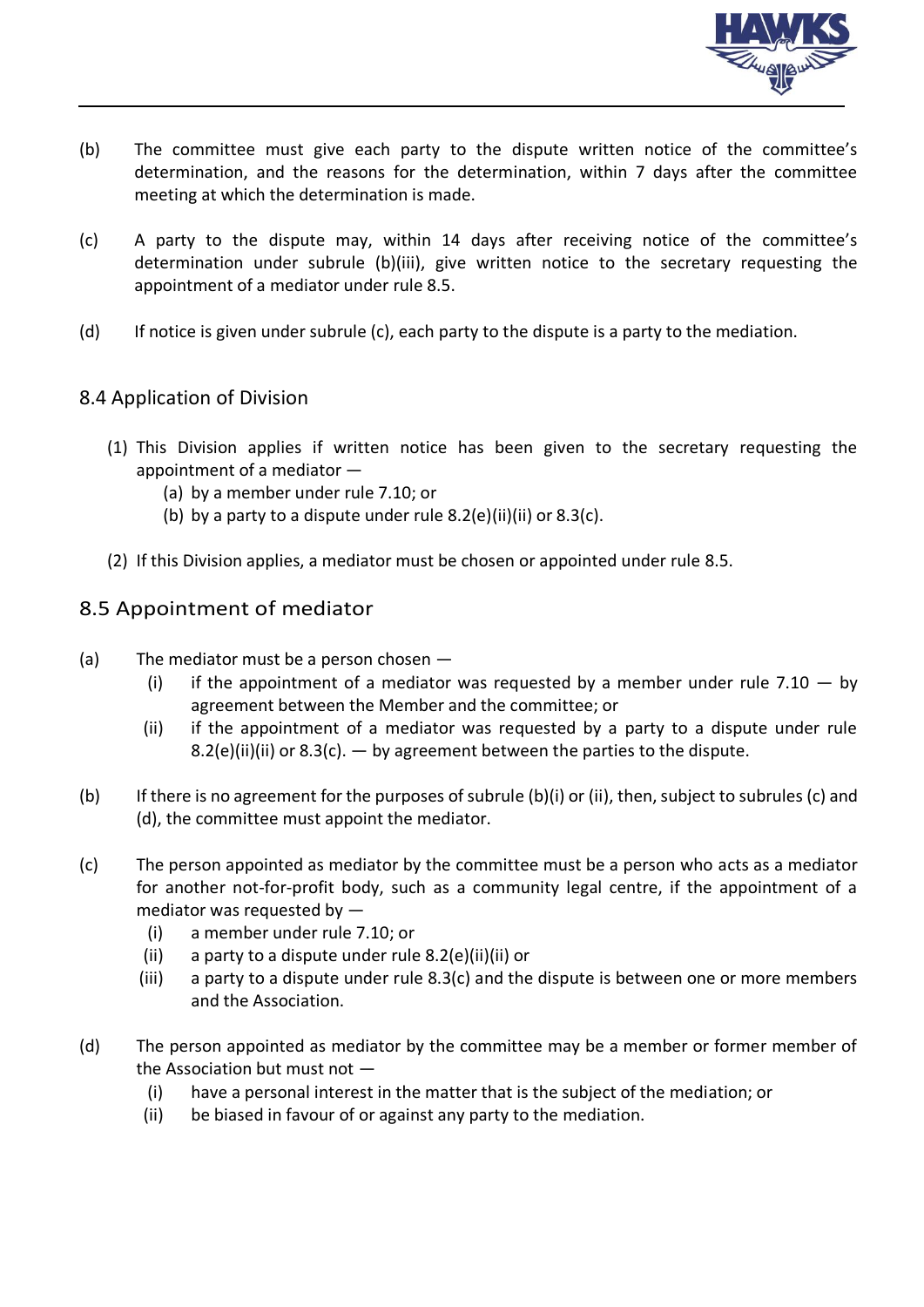

- (b) The committee must give each party to the dispute written notice of the committee's determination, and the reasons for the determination, within 7 days after the committee meeting at which the determination is made.
- (c) A party to the dispute may, within 14 days after receiving notice of the committee's determination under subrule (b)(iii), give written notice to the secretary requesting the appointment of a mediator under rule 8.5.
- (d) If notice is given under subrule (c), each party to the dispute is a party to the mediation.

#### 8.4 Application of Division

- (1) This Division applies if written notice has been given to the secretary requesting the appointment of a mediator —
	- (a) by a member under rule 7.10; or
	- (b) by a party to a dispute under rule  $8.2(e)$ (ii)(ii) or  $8.3(c)$ .
- (2) If this Division applies, a mediator must be chosen or appointed under rule 8.5.

#### 8.5 Appointment of mediator

- (a) The mediator must be a person chosen
	- (i) if the appointment of a mediator was requested by a member under rule 7.10  $-$  by agreement between the Member and the committee; or
	- (ii) if the appointment of a mediator was requested by a party to a dispute under rule 8.2(e)(ii)(ii) or 8.3(c).  $-$  by agreement between the parties to the dispute.
- (b) If there is no agreement for the purposes of subrule (b)(i) or (ii), then, subject to subrules (c) and (d), the committee must appoint the mediator.
- (c) The person appointed as mediator by the committee must be a person who acts as a mediator for another not-for-profit body, such as a community legal centre, if the appointment of a mediator was requested by —
	- (i) a member under rule 7.10; or
	- (ii) a party to a dispute under rule 8.2(e)(ii)(ii) or
	- (iii) a party to a dispute under rule 8.3(c) and the dispute is between one or more members and the Association.
- (d) The person appointed as mediator by the committee may be a member or former member of the Association but must not —
	- (i) have a personal interest in the matter that is the subject of the mediation; or
	- (ii) be biased in favour of or against any party to the mediation.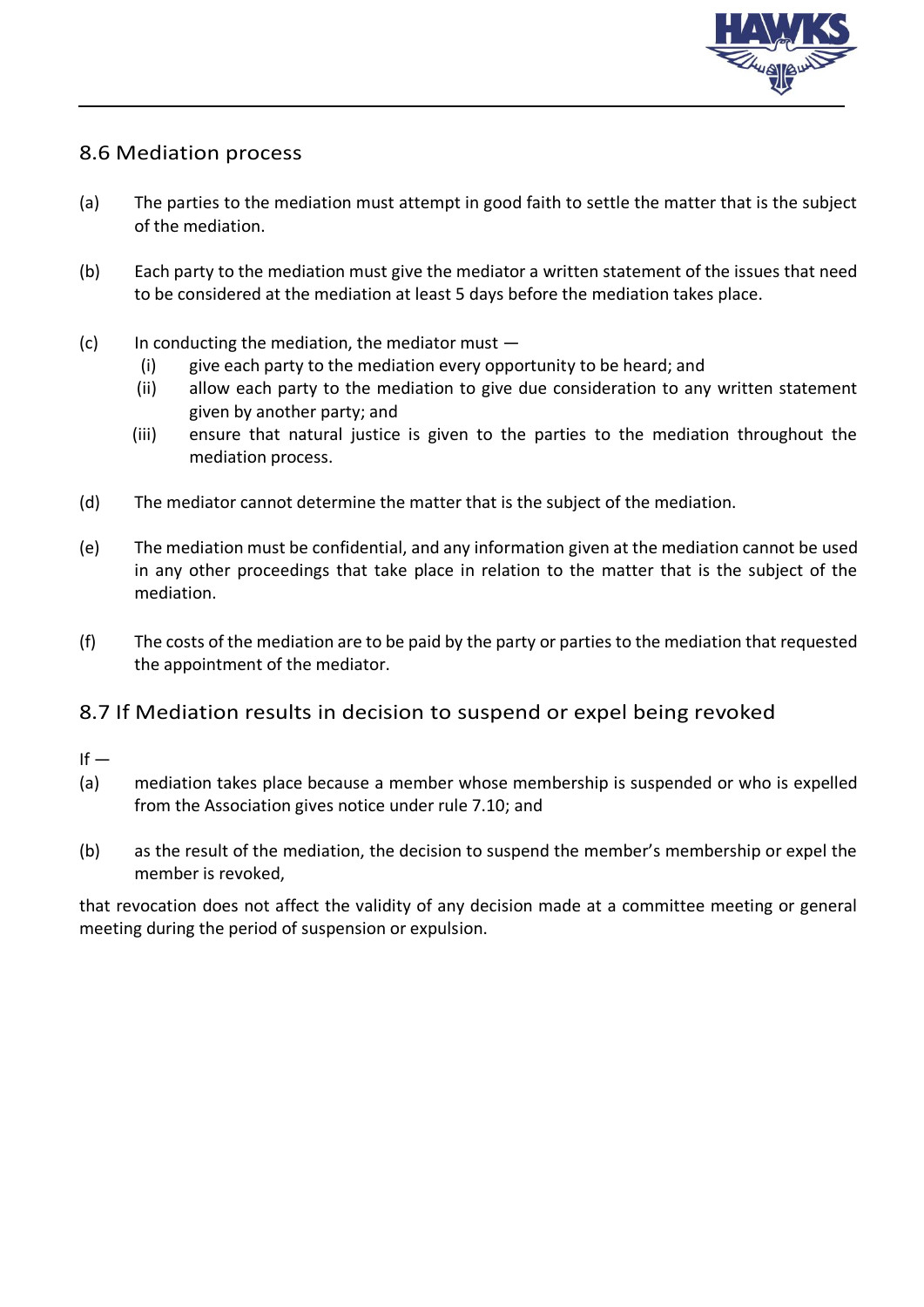

### 8.6 Mediation process

- (a) The parties to the mediation must attempt in good faith to settle the matter that is the subject of the mediation.
- (b) Each party to the mediation must give the mediator a written statement of the issues that need to be considered at the mediation at least 5 days before the mediation takes place.
- $(c)$  In conducting the mediation, the mediator must  $-$ 
	- (i) give each party to the mediation every opportunity to be heard; and
	- (ii) allow each party to the mediation to give due consideration to any written statement given by another party; and
	- (iii) ensure that natural justice is given to the parties to the mediation throughout the mediation process.
- (d) The mediator cannot determine the matter that is the subject of the mediation.
- (e) The mediation must be confidential, and any information given at the mediation cannot be used in any other proceedings that take place in relation to the matter that is the subject of the mediation.
- (f) The costs of the mediation are to be paid by the party or parties to the mediation that requested the appointment of the mediator.

#### 8.7 If Mediation results in decision to suspend or expel being revoked

- $If -$
- (a) mediation takes place because a member whose membership is suspended or who is expelled from the Association gives notice under rule 7.10; and
- (b) as the result of the mediation, the decision to suspend the member's membership or expel the member is revoked,

that revocation does not affect the validity of any decision made at a committee meeting or general meeting during the period of suspension or expulsion.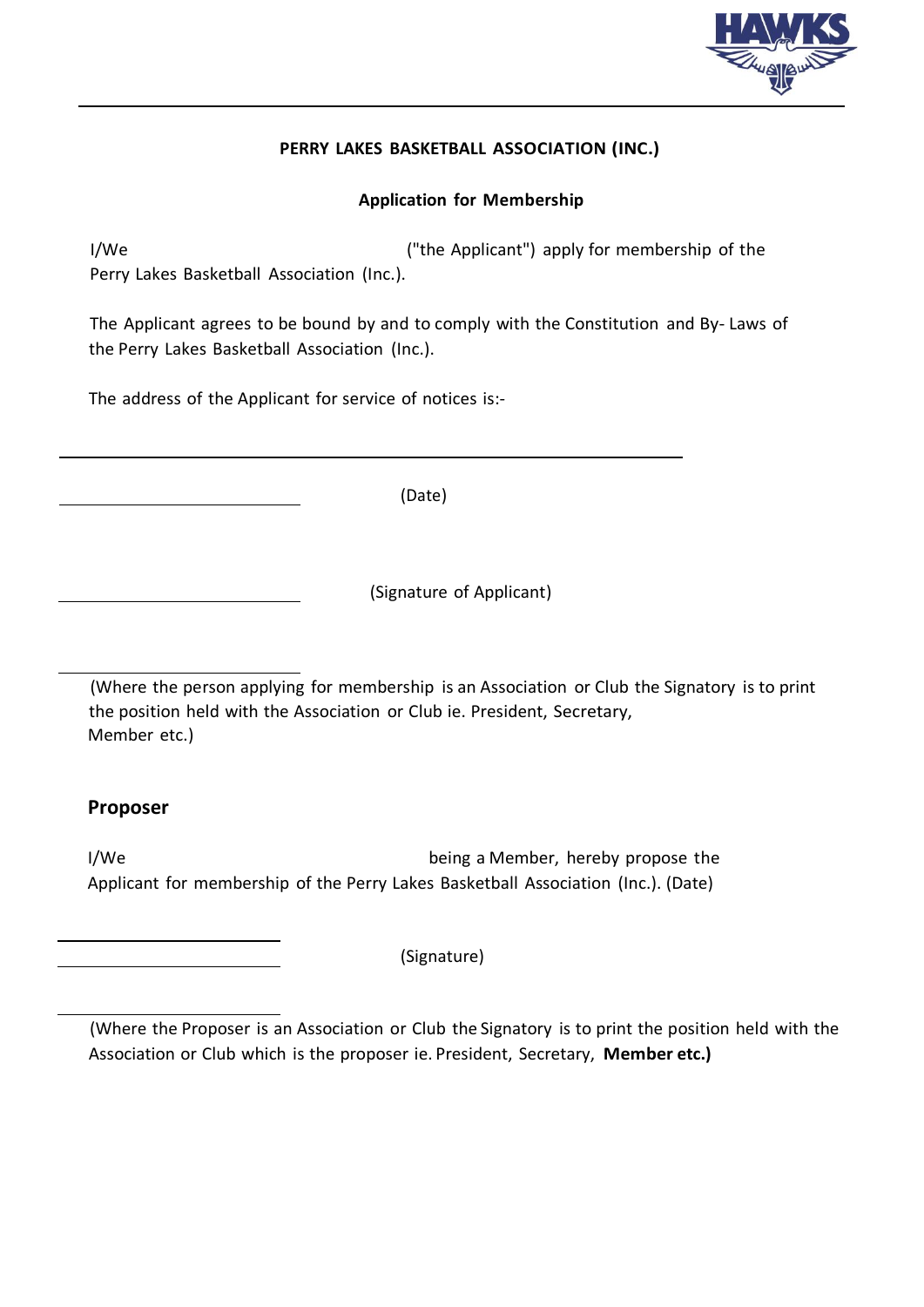

#### **PERRY LAKES BASKETBALL ASSOCIATION (INC.)**

#### **Application for Membership**

I/We I/We **("the Applicant")** apply for membership of the Perry Lakes Basketball Association (Inc.).

The Applicant agrees to be bound by and to comply with the Constitution and By- Laws of the Perry Lakes Basketball Association (Inc.).

The address of the Applicant for service of notices is:-

(Date)

(Signature of Applicant)

(Where the person applying for membership is an Association or Club the Signatory is to print the position held with the Association or Club ie. President, Secretary, Member etc.)

#### **Proposer**

I/We being a Member, hereby propose the Applicant for membership of the Perry Lakes Basketball Association (Inc.). (Date)

(Signature)

(Where the Proposer is an Association or Club the Signatory is to print the position held with the Association or Club which is the proposer ie. President, Secretary, **Member etc.)**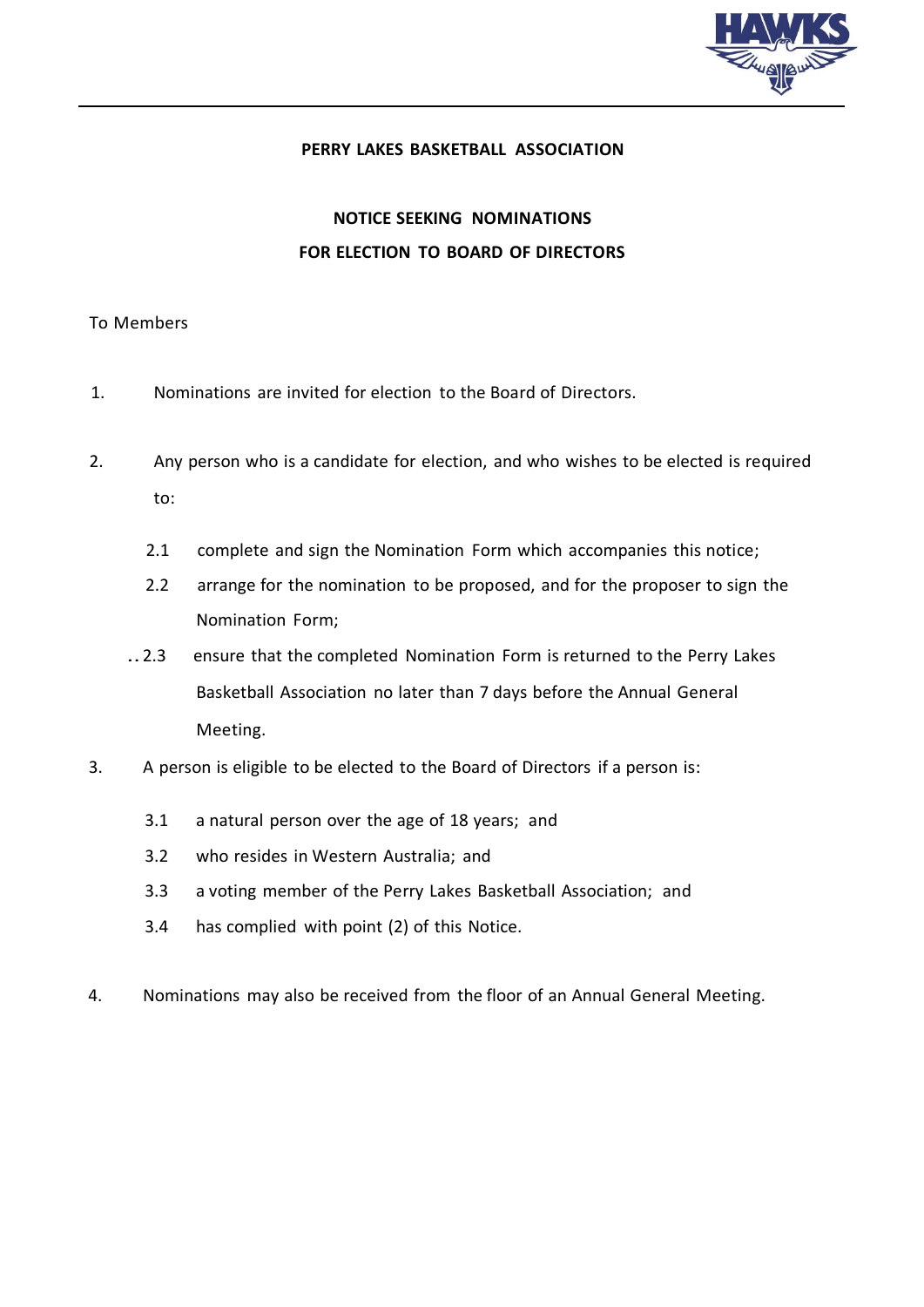

#### **PERRY LAKES BASKETBALL ASSOCIATION**

## **NOTICE SEEKING NOMINATIONS FOR ELECTION TO BOARD OF DIRECTORS**

#### To Members

- 1. Nominations are invited for election to the Board of Directors.
- 2. Any person who is a candidate for election, and who wishes to be elected is required to:
	- 2.1 complete and sign the Nomination Form which accompanies this notice;
	- 2.2 arrange for the nomination to be proposed, and for the proposer to sign the Nomination Form;
	- ..2.3 ensure that the completed Nomination Form is returned to the Perry Lakes Basketball Association no later than 7 days before the Annual General Meeting.
- 3. A person is eligible to be elected to the Board of Directors if a person is:
	- 3.1 a natural person over the age of 18 years; and
	- 3.2 who resides in Western Australia; and
	- 3.3 a voting member of the Perry Lakes Basketball Association; and
	- 3.4 has complied with point (2) of this Notice.
- 4. Nominations may also be received from the floor of an Annual General Meeting.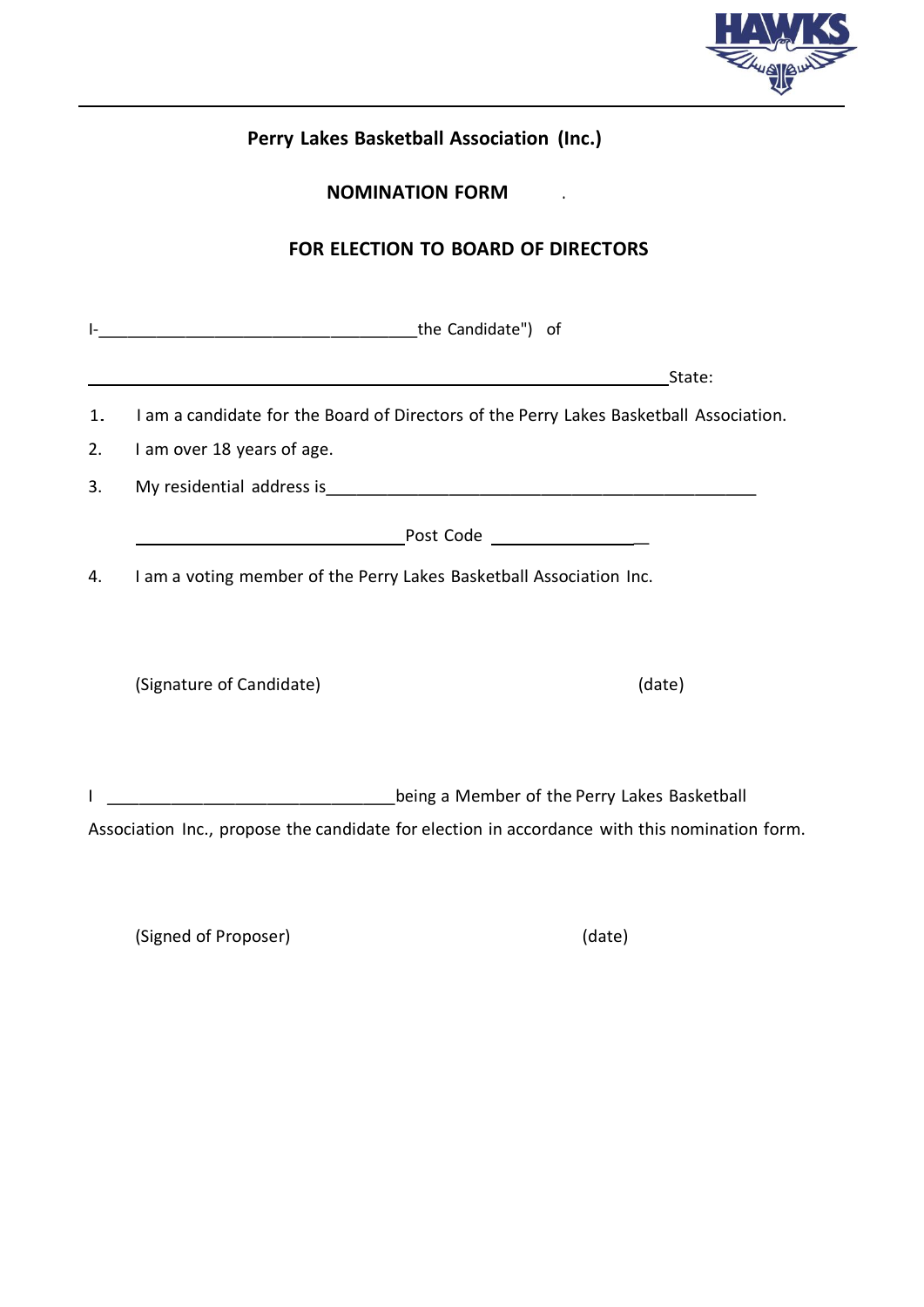

| Perry Lakes Basketball Association (Inc.)<br><b>NOMINATION FORM</b><br>FOR ELECTION TO BOARD OF DIRECTORS |                                                                                               |  |  |  |  |                                                                              |  |
|-----------------------------------------------------------------------------------------------------------|-----------------------------------------------------------------------------------------------|--|--|--|--|------------------------------------------------------------------------------|--|
|                                                                                                           |                                                                                               |  |  |  |  | die Candidate") of                                                           |  |
|                                                                                                           |                                                                                               |  |  |  |  | <u> 2008 - Jan Samuel Barbara, margaret eta idazlea (h. 1878).</u><br>State: |  |
| 1.                                                                                                        | I am a candidate for the Board of Directors of the Perry Lakes Basketball Association.        |  |  |  |  |                                                                              |  |
| 2.                                                                                                        | I am over 18 years of age.                                                                    |  |  |  |  |                                                                              |  |
| 3.                                                                                                        |                                                                                               |  |  |  |  |                                                                              |  |
|                                                                                                           |                                                                                               |  |  |  |  |                                                                              |  |
| 4.                                                                                                        | I am a voting member of the Perry Lakes Basketball Association Inc.                           |  |  |  |  |                                                                              |  |
|                                                                                                           | (Signature of Candidate)<br>(date)                                                            |  |  |  |  |                                                                              |  |
|                                                                                                           | Lacket Lakes Basketball being a Member of the Perry Lakes Basketball                          |  |  |  |  |                                                                              |  |
|                                                                                                           | Association Inc., propose the candidate for election in accordance with this nomination form. |  |  |  |  |                                                                              |  |

(Signed of Proposer) (date)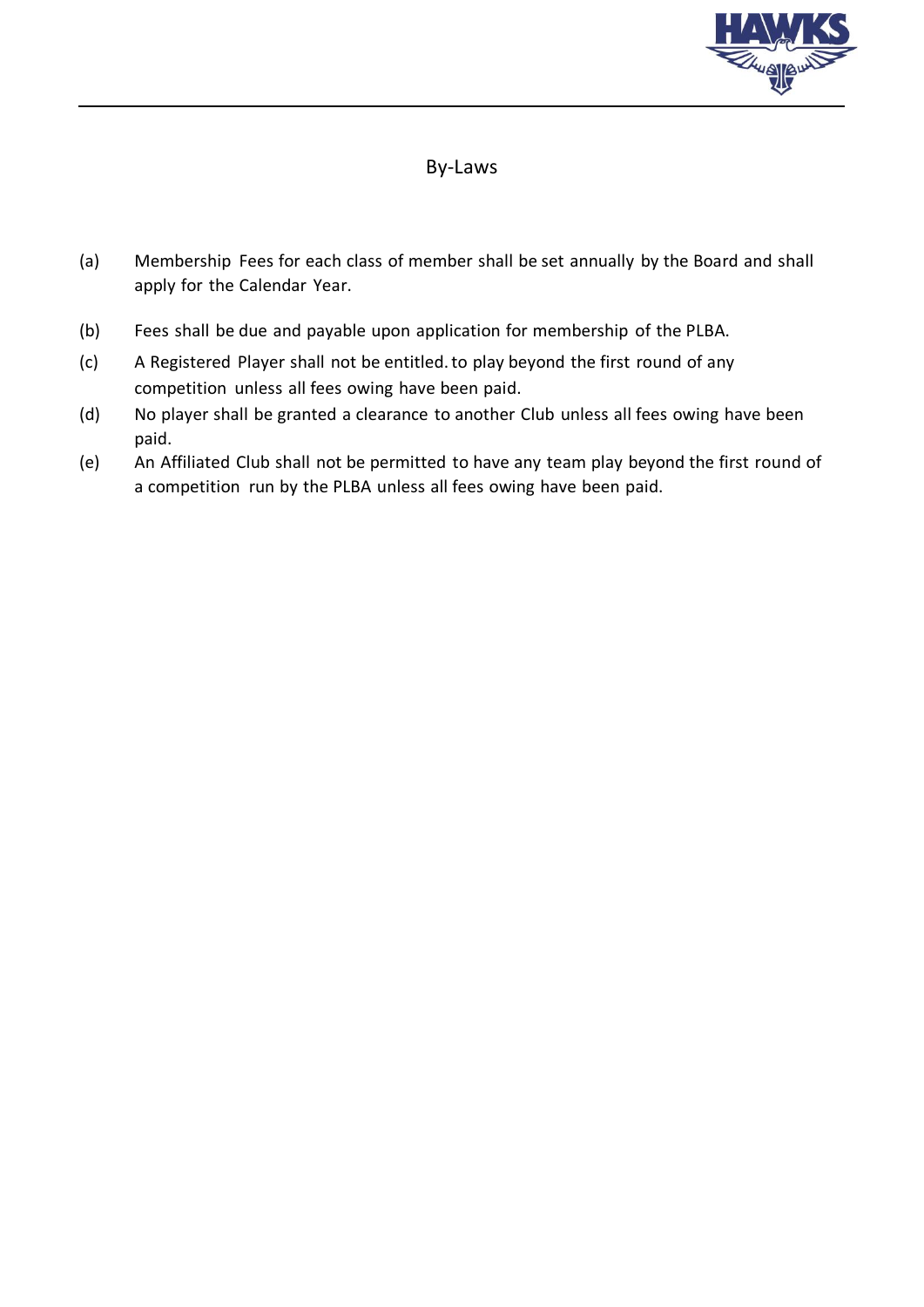

## By-Laws

- (a) Membership Fees for each class of member shall be set annually by the Board and shall apply for the Calendar Year.
- (b) Fees shall be due and payable upon application for membership of the PLBA.
- (c) A Registered Player shall not be entitled.to play beyond the first round of any competition unless all fees owing have been paid.
- (d) No player shall be granted a clearance to another Club unless all fees owing have been paid.
- (e) An Affiliated Club shall not be permitted to have any team play beyond the first round of a competition run by the PLBA unless all fees owing have been paid.